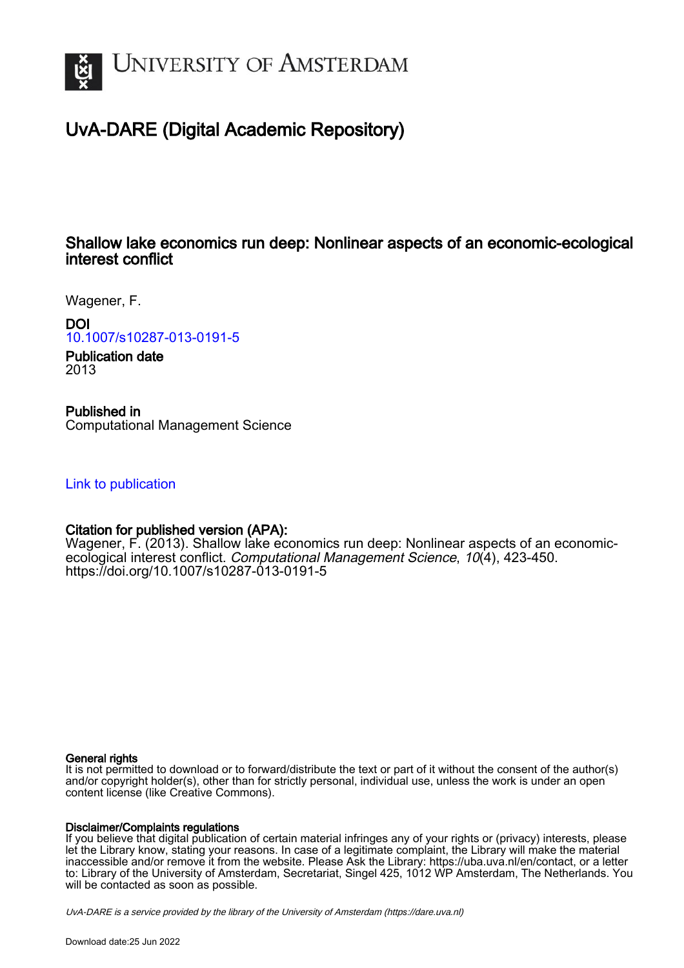

# UvA-DARE (Digital Academic Repository)

## Shallow lake economics run deep: Nonlinear aspects of an economic-ecological interest conflict

Wagener, F.

DOI

[10.1007/s10287-013-0191-5](https://doi.org/10.1007/s10287-013-0191-5)

Publication date 2013

Published in

Computational Management Science

[Link to publication](https://dare.uva.nl/personal/pure/en/publications/shallow-lake-economics-run-deep-nonlinear-aspects-of-an-economicecological-interest-conflict(ecad2d7f-e926-4df7-a8d2-b53a84dbfc36).html)

## Citation for published version (APA):

Wagener, F. (2013). Shallow lake economics run deep: Nonlinear aspects of an economicecological interest conflict. Computational Management Science, 10(4), 423-450. <https://doi.org/10.1007/s10287-013-0191-5>

### General rights

It is not permitted to download or to forward/distribute the text or part of it without the consent of the author(s) and/or copyright holder(s), other than for strictly personal, individual use, unless the work is under an open content license (like Creative Commons).

### Disclaimer/Complaints regulations

If you believe that digital publication of certain material infringes any of your rights or (privacy) interests, please let the Library know, stating your reasons. In case of a legitimate complaint, the Library will make the material inaccessible and/or remove it from the website. Please Ask the Library: https://uba.uva.nl/en/contact, or a letter to: Library of the University of Amsterdam, Secretariat, Singel 425, 1012 WP Amsterdam, The Netherlands. You will be contacted as soon as possible.

UvA-DARE is a service provided by the library of the University of Amsterdam (http*s*://dare.uva.nl)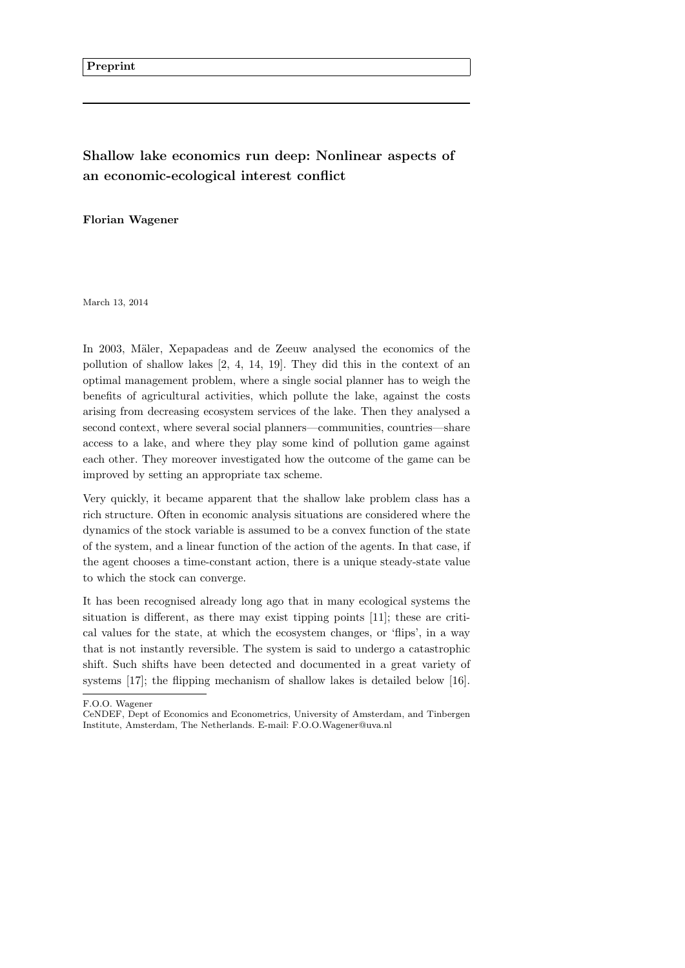## **Shallow lake economics run deep: Nonlinear aspects of an economic-ecological interest conflict**

**Florian Wagener**

March 13, 2014

In 2003, Mäler, Xepapadeas and de Zeeuw analysed the economics of the pollution of shallow lakes [2, 4, 14, 19]. They did this in the context of an optimal management problem, where a single social planner has to weigh the benefits of agricultural activities, which pollute the lake, against the costs arising from decreasing ecosystem services of the lake. Then they analysed a second context, where several social planners—communities, countries—share access to a lake, and where they play some kind of pollution game against each other. They moreover investigated how the outcome of the game can be improved by setting an appropriate tax scheme.

Very quickly, it became apparent that the shallow lake problem class has a rich structure. Often in economic analysis situations are considered where the dynamics of the stock variable is assumed to be a convex function of the state of the system, and a linear function of the action of the agents. In that case, if the agent chooses a time-constant action, there is a unique steady-state value to which the stock can converge.

It has been recognised already long ago that in many ecological systems the situation is different, as there may exist tipping points [11]; these are critical values for the state, at which the ecosystem changes, or 'flips', in a way that is not instantly reversible. The system is said to undergo a catastrophic shift. Such shifts have been detected and documented in a great variety of systems [17]; the flipping mechanism of shallow lakes is detailed below [16].

F.O.O. Wagener

CeNDEF, Dept of Economics and Econometrics, University of Amsterdam, and Tinbergen Institute, Amsterdam, The Netherlands. E-mail: F.O.O.Wagener@uva.nl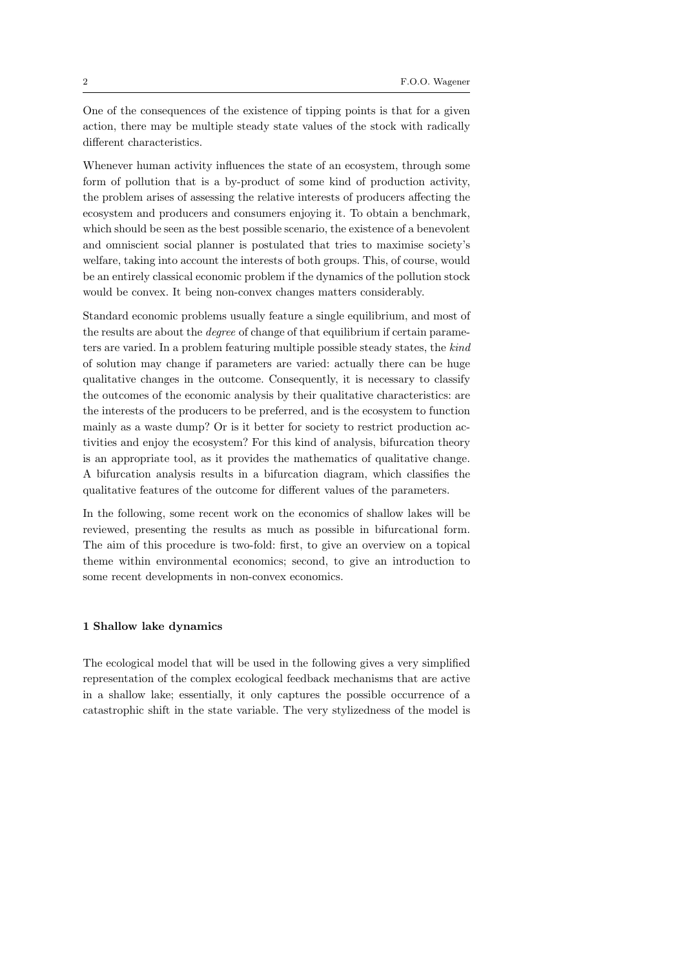One of the consequences of the existence of tipping points is that for a given action, there may be multiple steady state values of the stock with radically different characteristics.

Whenever human activity influences the state of an ecosystem, through some form of pollution that is a by-product of some kind of production activity, the problem arises of assessing the relative interests of producers affecting the ecosystem and producers and consumers enjoying it. To obtain a benchmark, which should be seen as the best possible scenario, the existence of a benevolent and omniscient social planner is postulated that tries to maximise society's welfare, taking into account the interests of both groups. This, of course, would be an entirely classical economic problem if the dynamics of the pollution stock would be convex. It being non-convex changes matters considerably.

Standard economic problems usually feature a single equilibrium, and most of the results are about the *degree* of change of that equilibrium if certain parameters are varied. In a problem featuring multiple possible steady states, the *kind* of solution may change if parameters are varied: actually there can be huge qualitative changes in the outcome. Consequently, it is necessary to classify the outcomes of the economic analysis by their qualitative characteristics: are the interests of the producers to be preferred, and is the ecosystem to function mainly as a waste dump? Or is it better for society to restrict production activities and enjoy the ecosystem? For this kind of analysis, bifurcation theory is an appropriate tool, as it provides the mathematics of qualitative change. A bifurcation analysis results in a bifurcation diagram, which classifies the qualitative features of the outcome for different values of the parameters.

In the following, some recent work on the economics of shallow lakes will be reviewed, presenting the results as much as possible in bifurcational form. The aim of this procedure is two-fold: first, to give an overview on a topical theme within environmental economics; second, to give an introduction to some recent developments in non-convex economics.

#### **1 Shallow lake dynamics**

The ecological model that will be used in the following gives a very simplified representation of the complex ecological feedback mechanisms that are active in a shallow lake; essentially, it only captures the possible occurrence of a catastrophic shift in the state variable. The very stylizedness of the model is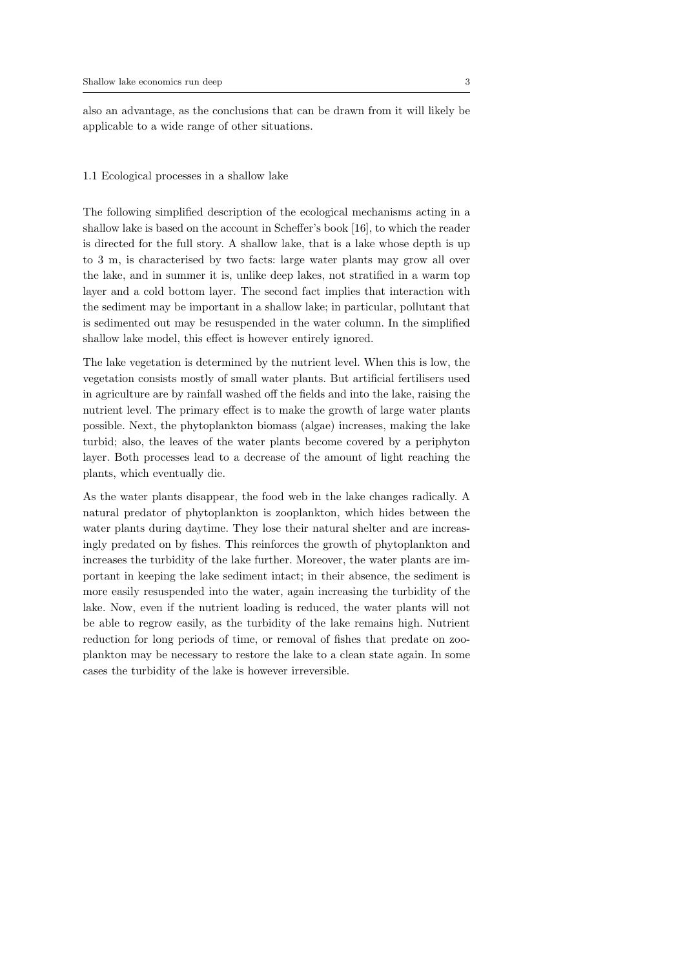also an advantage, as the conclusions that can be drawn from it will likely be applicable to a wide range of other situations.

#### 1.1 Ecological processes in a shallow lake

The following simplified description of the ecological mechanisms acting in a shallow lake is based on the account in Scheffer's book [16], to which the reader is directed for the full story. A shallow lake, that is a lake whose depth is up to 3 m, is characterised by two facts: large water plants may grow all over the lake, and in summer it is, unlike deep lakes, not stratified in a warm top layer and a cold bottom layer. The second fact implies that interaction with the sediment may be important in a shallow lake; in particular, pollutant that is sedimented out may be resuspended in the water column. In the simplified shallow lake model, this effect is however entirely ignored.

The lake vegetation is determined by the nutrient level. When this is low, the vegetation consists mostly of small water plants. But artificial fertilisers used in agriculture are by rainfall washed off the fields and into the lake, raising the nutrient level. The primary effect is to make the growth of large water plants possible. Next, the phytoplankton biomass (algae) increases, making the lake turbid; also, the leaves of the water plants become covered by a periphyton layer. Both processes lead to a decrease of the amount of light reaching the plants, which eventually die.

As the water plants disappear, the food web in the lake changes radically. A natural predator of phytoplankton is zooplankton, which hides between the water plants during daytime. They lose their natural shelter and are increasingly predated on by fishes. This reinforces the growth of phytoplankton and increases the turbidity of the lake further. Moreover, the water plants are important in keeping the lake sediment intact; in their absence, the sediment is more easily resuspended into the water, again increasing the turbidity of the lake. Now, even if the nutrient loading is reduced, the water plants will not be able to regrow easily, as the turbidity of the lake remains high. Nutrient reduction for long periods of time, or removal of fishes that predate on zooplankton may be necessary to restore the lake to a clean state again. In some cases the turbidity of the lake is however irreversible.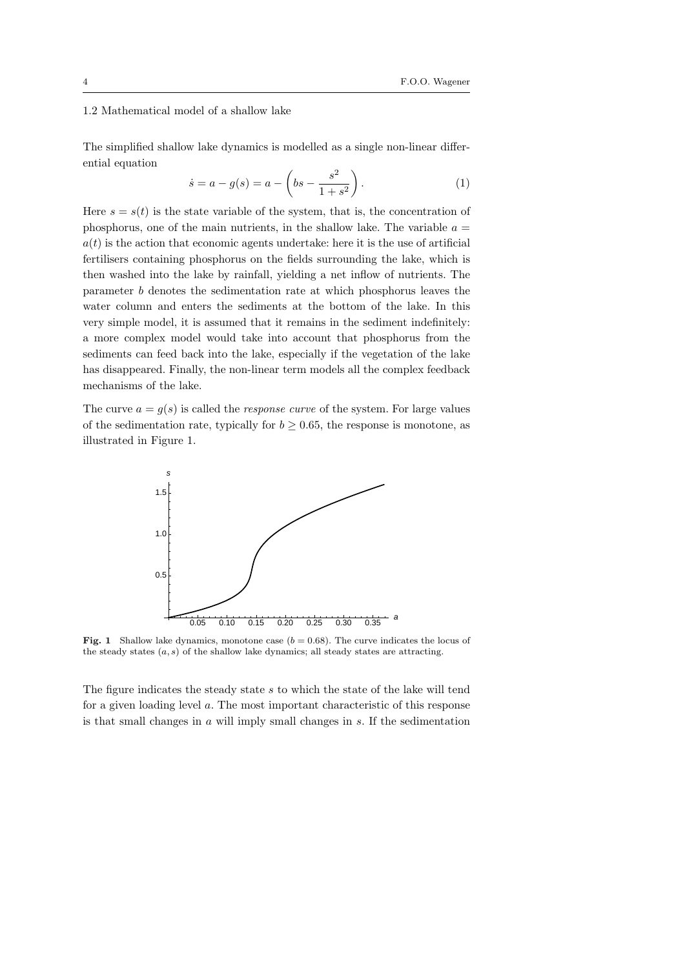#### 1.2 Mathematical model of a shallow lake

The simplified shallow lake dynamics is modelled as a single non-linear differential equation

$$
\dot{s} = a - g(s) = a - \left(bs - \frac{s^2}{1 + s^2}\right). \tag{1}
$$

Here  $s = s(t)$  is the state variable of the system, that is, the concentration of phosphorus, one of the main nutrients, in the shallow lake. The variable  $a =$  $a(t)$  is the action that economic agents undertake: here it is the use of artificial fertilisers containing phosphorus on the fields surrounding the lake, which is then washed into the lake by rainfall, yielding a net inflow of nutrients. The parameter *b* denotes the sedimentation rate at which phosphorus leaves the water column and enters the sediments at the bottom of the lake. In this very simple model, it is assumed that it remains in the sediment indefinitely: a more complex model would take into account that phosphorus from the sediments can feed back into the lake, especially if the vegetation of the lake has disappeared. Finally, the non-linear term models all the complex feedback mechanisms of the lake.

The curve  $a = g(s)$  is called the *response curve* of the system. For large values of the sedimentation rate, typically for  $b \geq 0.65$ , the response is monotone, as illustrated in Figure 1.



**Fig. 1** Shallow lake dynamics, monotone case  $(b = 0.68)$ . The curve indicates the locus of the steady states (*a, s*) of the shallow lake dynamics; all steady states are attracting.

The figure indicates the steady state *s* to which the state of the lake will tend for a given loading level *a*. The most important characteristic of this response is that small changes in *a* will imply small changes in *s*. If the sedimentation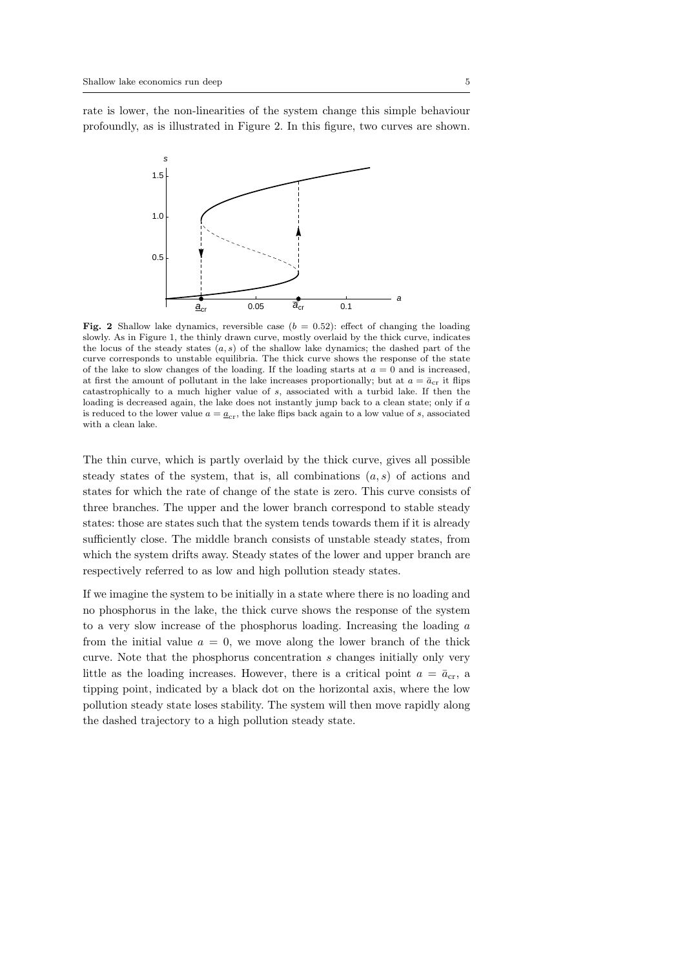rate is lower, the non-linearities of the system change this simple behaviour profoundly, as is illustrated in Figure 2. In this figure, two curves are shown.



**Fig. 2** Shallow lake dynamics, reversible case  $(b = 0.52)$ : effect of changing the loading slowly. As in Figure 1, the thinly drawn curve, mostly overlaid by the thick curve, indicates the locus of the steady states (*a, s*) of the shallow lake dynamics; the dashed part of the curve corresponds to unstable equilibria. The thick curve shows the response of the state of the lake to slow changes of the loading. If the loading starts at  $a = 0$  and is increased, at first the amount of pollutant in the lake increases proportionally; but at  $a = \bar{a}_{cr}$  it flips catastrophically to a much higher value of *s*, associated with a turbid lake. If then the loading is decreased again, the lake does not instantly jump back to a clean state; only if *a* is reduced to the lower value  $a = a_{cr}$ , the lake flips back again to a low value of *s*, associated with a clean lake.

The thin curve, which is partly overlaid by the thick curve, gives all possible steady states of the system, that is, all combinations (*a, s*) of actions and states for which the rate of change of the state is zero. This curve consists of three branches. The upper and the lower branch correspond to stable steady states: those are states such that the system tends towards them if it is already sufficiently close. The middle branch consists of unstable steady states, from which the system drifts away. Steady states of the lower and upper branch are respectively referred to as low and high pollution steady states.

If we imagine the system to be initially in a state where there is no loading and no phosphorus in the lake, the thick curve shows the response of the system to a very slow increase of the phosphorus loading. Increasing the loading *a* from the initial value  $a = 0$ , we move along the lower branch of the thick curve. Note that the phosphorus concentration *s* changes initially only very little as the loading increases. However, there is a critical point  $a = \bar{a}_{cr}$ , a tipping point, indicated by a black dot on the horizontal axis, where the low pollution steady state loses stability. The system will then move rapidly along the dashed trajectory to a high pollution steady state.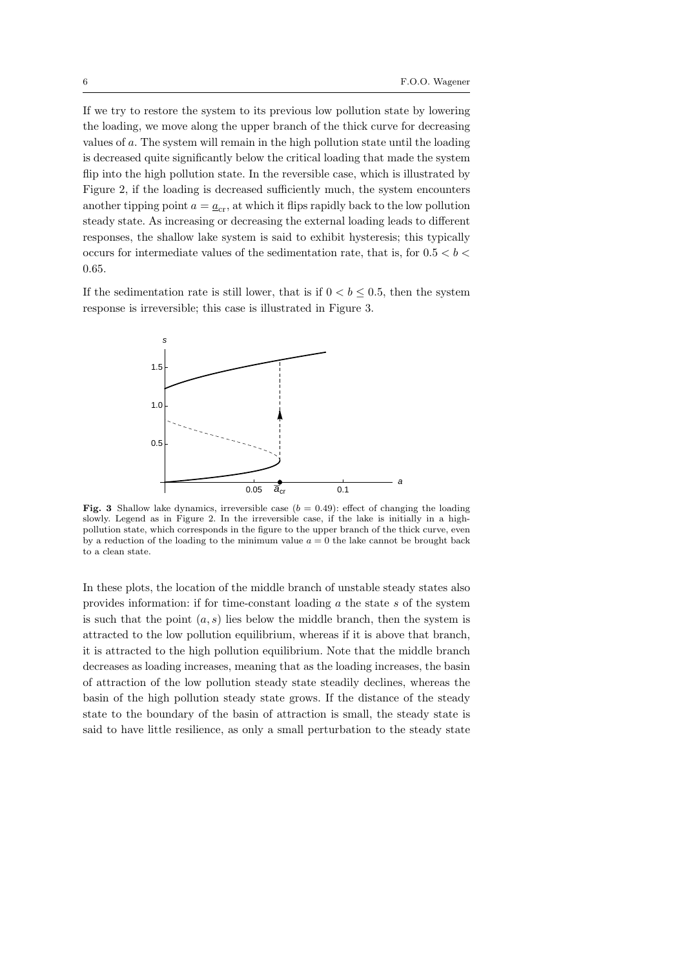If we try to restore the system to its previous low pollution state by lowering the loading, we move along the upper branch of the thick curve for decreasing values of *a*. The system will remain in the high pollution state until the loading is decreased quite significantly below the critical loading that made the system flip into the high pollution state. In the reversible case, which is illustrated by Figure 2, if the loading is decreased sufficiently much, the system encounters another tipping point  $a = a_{cr}$ , at which it flips rapidly back to the low pollution steady state. As increasing or decreasing the external loading leads to different responses, the shallow lake system is said to exhibit hysteresis; this typically occurs for intermediate values of the sedimentation rate, that is, for 0*.*5 *< b <* 0*.*65.

If the sedimentation rate is still lower, that is if  $0 < b \leq 0.5$ , then the system response is irreversible; this case is illustrated in Figure 3.



**Fig. 3** Shallow lake dynamics, irreversible case  $(b = 0.49)$ : effect of changing the loading slowly. Legend as in Figure 2. In the irreversible case, if the lake is initially in a highpollution state, which corresponds in the figure to the upper branch of the thick curve, even by a reduction of the loading to the minimum value  $a = 0$  the lake cannot be brought back to a clean state.

In these plots, the location of the middle branch of unstable steady states also provides information: if for time-constant loading *a* the state *s* of the system is such that the point  $(a, s)$  lies below the middle branch, then the system is attracted to the low pollution equilibrium, whereas if it is above that branch, it is attracted to the high pollution equilibrium. Note that the middle branch decreases as loading increases, meaning that as the loading increases, the basin of attraction of the low pollution steady state steadily declines, whereas the basin of the high pollution steady state grows. If the distance of the steady state to the boundary of the basin of attraction is small, the steady state is said to have little resilience, as only a small perturbation to the steady state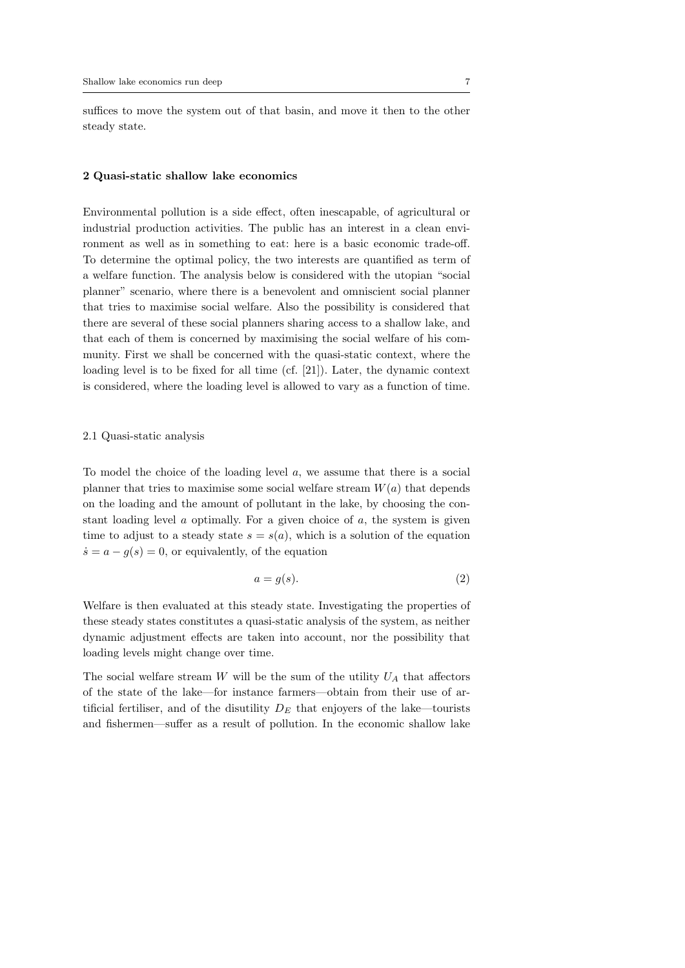suffices to move the system out of that basin, and move it then to the other steady state.

#### **2 Quasi-static shallow lake economics**

Environmental pollution is a side effect, often inescapable, of agricultural or industrial production activities. The public has an interest in a clean environment as well as in something to eat: here is a basic economic trade-off. To determine the optimal policy, the two interests are quantified as term of a welfare function. The analysis below is considered with the utopian "social planner" scenario, where there is a benevolent and omniscient social planner that tries to maximise social welfare. Also the possibility is considered that there are several of these social planners sharing access to a shallow lake, and that each of them is concerned by maximising the social welfare of his community. First we shall be concerned with the quasi-static context, where the loading level is to be fixed for all time (cf. [21]). Later, the dynamic context is considered, where the loading level is allowed to vary as a function of time.

#### 2.1 Quasi-static analysis

To model the choice of the loading level *a*, we assume that there is a social planner that tries to maximise some social welfare stream  $W(a)$  that depends on the loading and the amount of pollutant in the lake, by choosing the constant loading level *a* optimally. For a given choice of *a*, the system is given time to adjust to a steady state  $s = s(a)$ , which is a solution of the equation  $\dot{s} = a - g(s) = 0$ , or equivalently, of the equation

$$
a = g(s). \tag{2}
$$

Welfare is then evaluated at this steady state. Investigating the properties of these steady states constitutes a quasi-static analysis of the system, as neither dynamic adjustment effects are taken into account, nor the possibility that loading levels might change over time.

The social welfare stream *W* will be the sum of the utility  $U_A$  that affectors of the state of the lake—for instance farmers—obtain from their use of artificial fertiliser, and of the disutility  $D<sub>E</sub>$  that enjoyers of the lake—tourists and fishermen—suffer as a result of pollution. In the economic shallow lake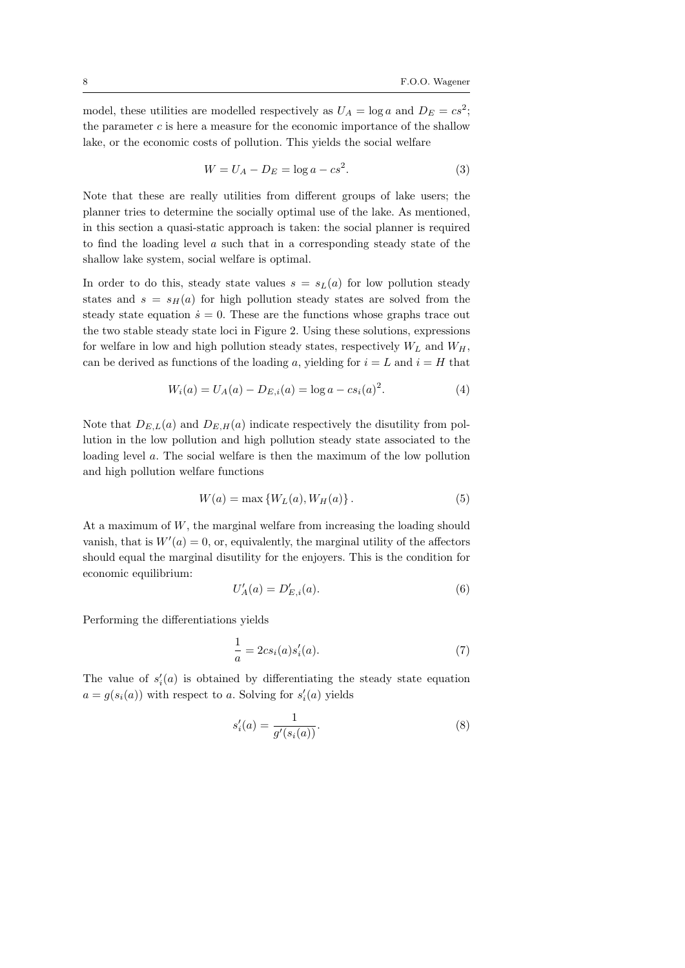model, these utilities are modelled respectively as  $U_A = \log a$  and  $D_E = cs^2$ ; the parameter *c* is here a measure for the economic importance of the shallow lake, or the economic costs of pollution. This yields the social welfare

$$
W = U_A - D_E = \log a - cs^2.
$$
\n
$$
(3)
$$

Note that these are really utilities from different groups of lake users; the planner tries to determine the socially optimal use of the lake. As mentioned, in this section a quasi-static approach is taken: the social planner is required to find the loading level *a* such that in a corresponding steady state of the shallow lake system, social welfare is optimal.

In order to do this, steady state values  $s = s<sub>L</sub>(a)$  for low pollution steady states and  $s = s_H(a)$  for high pollution steady states are solved from the steady state equation  $\dot{s} = 0$ . These are the functions whose graphs trace out the two stable steady state loci in Figure 2. Using these solutions, expressions for welfare in low and high pollution steady states, respectively  $W_L$  and  $W_H$ , can be derived as functions of the loading a, yielding for  $i = L$  and  $i = H$  that

$$
W_i(a) = U_A(a) - D_{E,i}(a) = \log a - cs_i(a)^2.
$$
 (4)

Note that  $D_{E,L}(a)$  and  $D_{E,H}(a)$  indicate respectively the disutility from pollution in the low pollution and high pollution steady state associated to the loading level *a*. The social welfare is then the maximum of the low pollution and high pollution welfare functions

$$
W(a) = \max \{ W_L(a), W_H(a) \}.
$$
 (5)

At a maximum of *W*, the marginal welfare from increasing the loading should vanish, that is  $W'(a) = 0$ , or, equivalently, the marginal utility of the affectors should equal the marginal disutility for the enjoyers. This is the condition for economic equilibrium:

$$
U'_{A}(a) = D'_{E,i}(a). \tag{6}
$$

Performing the differentiations yields

$$
\frac{1}{a} = 2csi(a)s'i(a).
$$
\n(7)

The value of  $s_i'(a)$  is obtained by differentiating the steady state equation  $a = g(s_i(a))$  with respect to *a*. Solving for  $s'_i(a)$  yields

$$
s_i'(a) = \frac{1}{g'(s_i(a))}.
$$
 (8)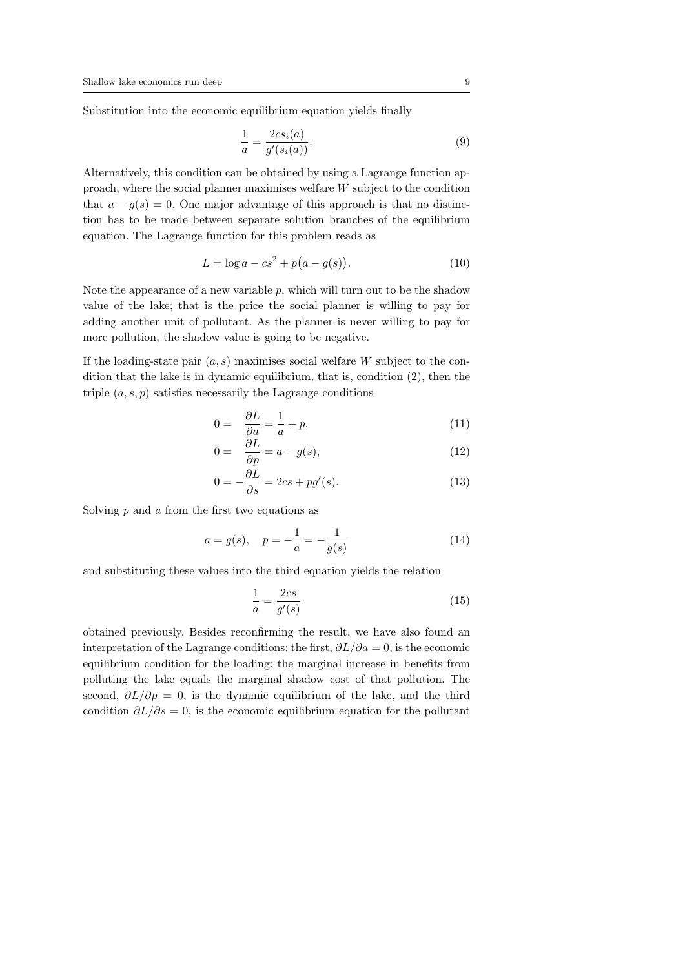Substitution into the economic equilibrium equation yields finally

$$
\frac{1}{a} = \frac{2cs_i(a)}{g'(s_i(a))}.
$$
\n(9)

Alternatively, this condition can be obtained by using a Lagrange function approach, where the social planner maximises welfare *W* subject to the condition that  $a - g(s) = 0$ . One major advantage of this approach is that no distinction has to be made between separate solution branches of the equilibrium equation. The Lagrange function for this problem reads as

$$
L = \log a - cs^2 + p(a - g(s)).
$$
\n(10)

Note the appearance of a new variable *p*, which will turn out to be the shadow value of the lake; that is the price the social planner is willing to pay for adding another unit of pollutant. As the planner is never willing to pay for more pollution, the shadow value is going to be negative.

If the loading-state pair (*a, s*) maximises social welfare *W* subject to the condition that the lake is in dynamic equilibrium, that is, condition (2), then the triple  $(a, s, p)$  satisfies necessarily the Lagrange conditions

$$
0 = \frac{\partial L}{\partial a} = \frac{1}{a} + p,\tag{11}
$$

$$
0 = \frac{\partial L}{\partial p} = a - g(s),\tag{12}
$$

$$
0 = -\frac{\partial L}{\partial s} = 2cs + pg'(s). \tag{13}
$$

Solving *p* and *a* from the first two equations as

$$
a = g(s), \quad p = -\frac{1}{a} = -\frac{1}{g(s)}
$$
 (14)

and substituting these values into the third equation yields the relation

$$
\frac{1}{a} = \frac{2cs}{g'(s)}\tag{15}
$$

obtained previously. Besides reconfirming the result, we have also found an interpretation of the Lagrange conditions: the first,  $\partial L/\partial a = 0$ , is the economic equilibrium condition for the loading: the marginal increase in benefits from polluting the lake equals the marginal shadow cost of that pollution. The second,  $\partial L/\partial p = 0$ , is the dynamic equilibrium of the lake, and the third condition  $\partial L/\partial s = 0$ , is the economic equilibrium equation for the pollutant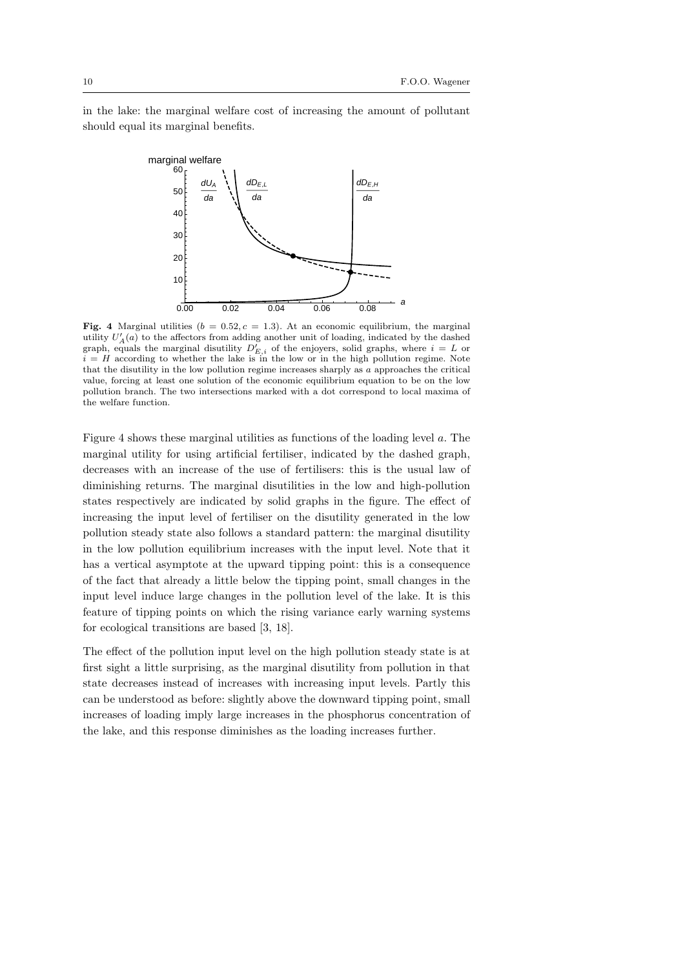in the lake: the marginal welfare cost of increasing the amount of pollutant should equal its marginal benefits.



**Fig. 4** Marginal utilities  $(b = 0.52, c = 1.3)$ . At an economic equilibrium, the marginal utility  $U'_{A}(a)$  to the affectors from adding another unit of loading, indicated by the dashed graph, equals the marginal disutility  $D'_{E,i}$  of the enjoyers, solid graphs, where  $i = L$  or  $i = H$  according to whether the lake is in the low or in the high pollution regime. Note that the disutility in the low pollution regime increases sharply as *a* approaches the critical value, forcing at least one solution of the economic equilibrium equation to be on the low pollution branch. The two intersections marked with a dot correspond to local maxima of the welfare function.

Figure 4 shows these marginal utilities as functions of the loading level *a*. The marginal utility for using artificial fertiliser, indicated by the dashed graph, decreases with an increase of the use of fertilisers: this is the usual law of diminishing returns. The marginal disutilities in the low and high-pollution states respectively are indicated by solid graphs in the figure. The effect of increasing the input level of fertiliser on the disutility generated in the low pollution steady state also follows a standard pattern: the marginal disutility in the low pollution equilibrium increases with the input level. Note that it has a vertical asymptote at the upward tipping point: this is a consequence of the fact that already a little below the tipping point, small changes in the input level induce large changes in the pollution level of the lake. It is this feature of tipping points on which the rising variance early warning systems for ecological transitions are based [3, 18].

The effect of the pollution input level on the high pollution steady state is at first sight a little surprising, as the marginal disutility from pollution in that state decreases instead of increases with increasing input levels. Partly this can be understood as before: slightly above the downward tipping point, small increases of loading imply large increases in the phosphorus concentration of the lake, and this response diminishes as the loading increases further.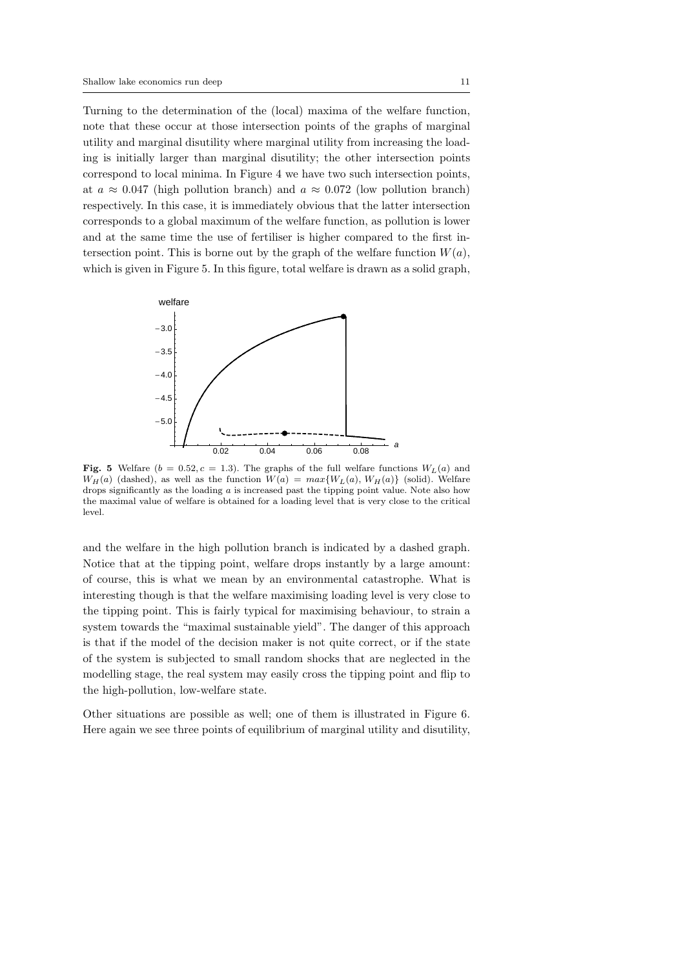Turning to the determination of the (local) maxima of the welfare function, note that these occur at those intersection points of the graphs of marginal utility and marginal disutility where marginal utility from increasing the loading is initially larger than marginal disutility; the other intersection points correspond to local minima. In Figure 4 we have two such intersection points, at  $a \approx 0.047$  (high pollution branch) and  $a \approx 0.072$  (low pollution branch) respectively. In this case, it is immediately obvious that the latter intersection corresponds to a global maximum of the welfare function, as pollution is lower and at the same time the use of fertiliser is higher compared to the first intersection point. This is borne out by the graph of the welfare function  $W(a)$ , which is given in Figure 5. In this figure, total welfare is drawn as a solid graph,



**Fig. 5** Welfare ( $b = 0.52, c = 1.3$ ). The graphs of the full welfare functions  $W_L(a)$  and *W*<sub>H</sub>(*a*) (dashed), as well as the function  $W(a) = max\{W_L(a), W_H(a)\}$  (solid). Welfare drops significantly as the loading *a* is increased past the tipping point value. Note also how the maximal value of welfare is obtained for a loading level that is very close to the critical level.

and the welfare in the high pollution branch is indicated by a dashed graph. Notice that at the tipping point, welfare drops instantly by a large amount: of course, this is what we mean by an environmental catastrophe. What is interesting though is that the welfare maximising loading level is very close to the tipping point. This is fairly typical for maximising behaviour, to strain a system towards the "maximal sustainable yield". The danger of this approach is that if the model of the decision maker is not quite correct, or if the state of the system is subjected to small random shocks that are neglected in the modelling stage, the real system may easily cross the tipping point and flip to the high-pollution, low-welfare state.

Other situations are possible as well; one of them is illustrated in Figure 6. Here again we see three points of equilibrium of marginal utility and disutility,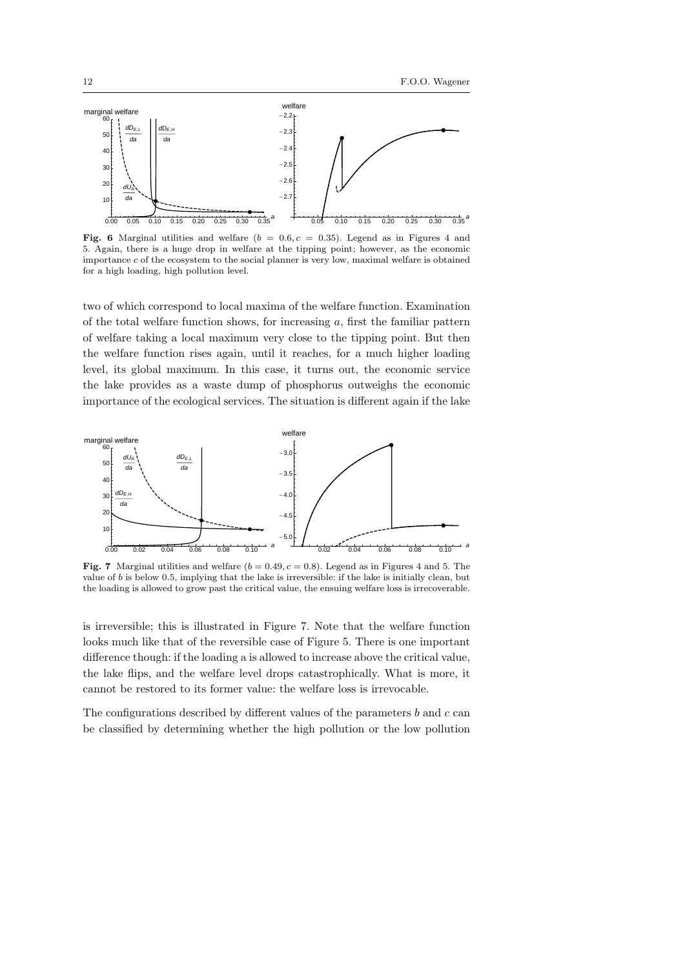

**Fig. 6** Marginal utilities and welfare  $(b = 0.6, c = 0.35)$ . Legend as in Figures 4 and 5. Again, there is a huge drop in welfare at the tipping point; however, as the economic importance *c* of the ecosystem to the social planner is very low, maximal welfare is obtained for a high loading, high pollution level.

two of which correspond to local maxima of the welfare function. Examination of the total welfare function shows, for increasing *a*, first the familiar pattern of welfare taking a local maximum very close to the tipping point. But then the welfare function rises again, until it reaches, for a much higher loading level, its global maximum. In this case, it turns out, the economic service the lake provides as a waste dump of phosphorus outweighs the economic importance of the ecological services. The situation is different again if the lake



**Fig. 7** Marginal utilities and welfare  $(b = 0.49, c = 0.8)$ . Legend as in Figures 4 and 5. The value of *b* is below 0*.*5, implying that the lake is irreversible: if the lake is initially clean, but the loading is allowed to grow past the critical value, the ensuing welfare loss is irrecoverable.

is irreversible; this is illustrated in Figure 7. Note that the welfare function looks much like that of the reversible case of Figure 5. There is one important difference though: if the loading a is allowed to increase above the critical value, the lake flips, and the welfare level drops catastrophically. What is more, it cannot be restored to its former value: the welfare loss is irrevocable.

The configurations described by different values of the parameters *b* and *c* can be classified by determining whether the high pollution or the low pollution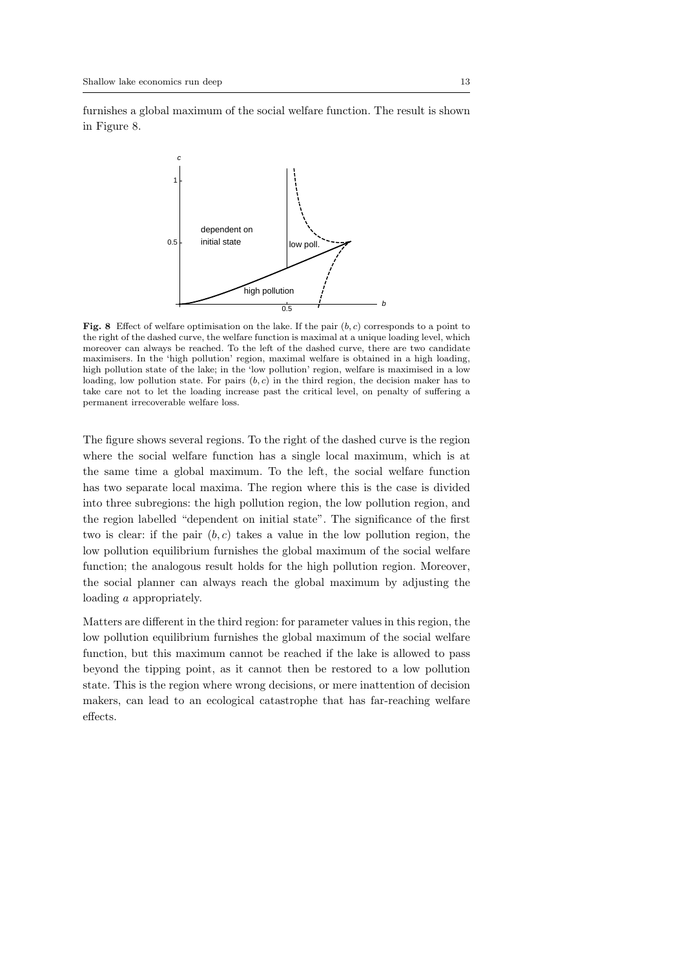furnishes a global maximum of the social welfare function. The result is shown in Figure 8.



**Fig. 8** Effect of welfare optimisation on the lake. If the pair (*b, c*) corresponds to a point to the right of the dashed curve, the welfare function is maximal at a unique loading level, which moreover can always be reached. To the left of the dashed curve, there are two candidate maximisers. In the 'high pollution' region, maximal welfare is obtained in a high loading, high pollution state of the lake; in the 'low pollution' region, welfare is maximised in a low loading, low pollution state. For pairs (*b, c*) in the third region, the decision maker has to take care not to let the loading increase past the critical level, on penalty of suffering a permanent irrecoverable welfare loss.

The figure shows several regions. To the right of the dashed curve is the region where the social welfare function has a single local maximum, which is at the same time a global maximum. To the left, the social welfare function has two separate local maxima. The region where this is the case is divided into three subregions: the high pollution region, the low pollution region, and the region labelled "dependent on initial state". The significance of the first two is clear: if the pair (*b, c*) takes a value in the low pollution region, the low pollution equilibrium furnishes the global maximum of the social welfare function; the analogous result holds for the high pollution region. Moreover, the social planner can always reach the global maximum by adjusting the loading *a* appropriately.

Matters are different in the third region: for parameter values in this region, the low pollution equilibrium furnishes the global maximum of the social welfare function, but this maximum cannot be reached if the lake is allowed to pass beyond the tipping point, as it cannot then be restored to a low pollution state. This is the region where wrong decisions, or mere inattention of decision makers, can lead to an ecological catastrophe that has far-reaching welfare effects.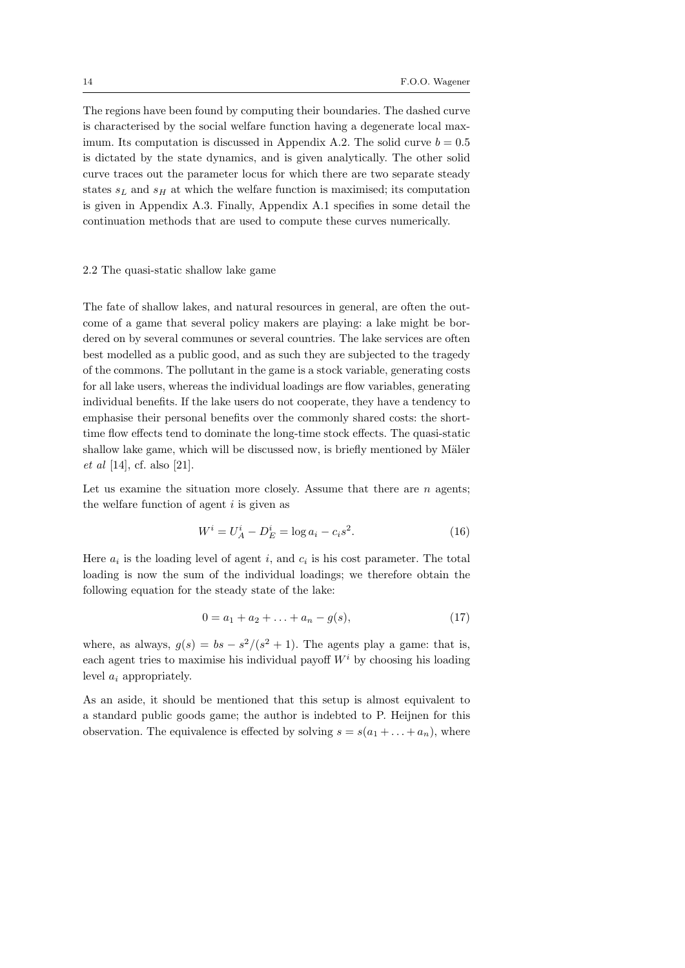The regions have been found by computing their boundaries. The dashed curve is characterised by the social welfare function having a degenerate local maximum. Its computation is discussed in Appendix A.2. The solid curve  $b = 0.5$ is dictated by the state dynamics, and is given analytically. The other solid curve traces out the parameter locus for which there are two separate steady states  $s_L$  and  $s_H$  at which the welfare function is maximised; its computation is given in Appendix A.3. Finally, Appendix A.1 specifies in some detail the continuation methods that are used to compute these curves numerically.

#### 2.2 The quasi-static shallow lake game

The fate of shallow lakes, and natural resources in general, are often the outcome of a game that several policy makers are playing: a lake might be bordered on by several communes or several countries. The lake services are often best modelled as a public good, and as such they are subjected to the tragedy of the commons. The pollutant in the game is a stock variable, generating costs for all lake users, whereas the individual loadings are flow variables, generating individual benefits. If the lake users do not cooperate, they have a tendency to emphasise their personal benefits over the commonly shared costs: the shorttime flow effects tend to dominate the long-time stock effects. The quasi-static shallow lake game, which will be discussed now, is briefly mentioned by Mäler *et al* [14], cf. also [21].

Let us examine the situation more closely. Assume that there are *n* agents; the welfare function of agent *i* is given as

$$
W^{i} = U_{A}^{i} - D_{E}^{i} = \log a_{i} - c_{i}s^{2}.
$$
 (16)

Here  $a_i$  is the loading level of agent  $i$ , and  $c_i$  is his cost parameter. The total loading is now the sum of the individual loadings; we therefore obtain the following equation for the steady state of the lake:

$$
0 = a_1 + a_2 + \ldots + a_n - g(s), \tag{17}
$$

where, as always,  $g(s) = bs - s^2/(s^2 + 1)$ . The agents play a game: that is, each agent tries to maximise his individual payoff  $W^i$  by choosing his loading level *a<sup>i</sup>* appropriately.

As an aside, it should be mentioned that this setup is almost equivalent to a standard public goods game; the author is indebted to P. Heijnen for this observation. The equivalence is effected by solving  $s = s(a_1 + \ldots + a_n)$ , where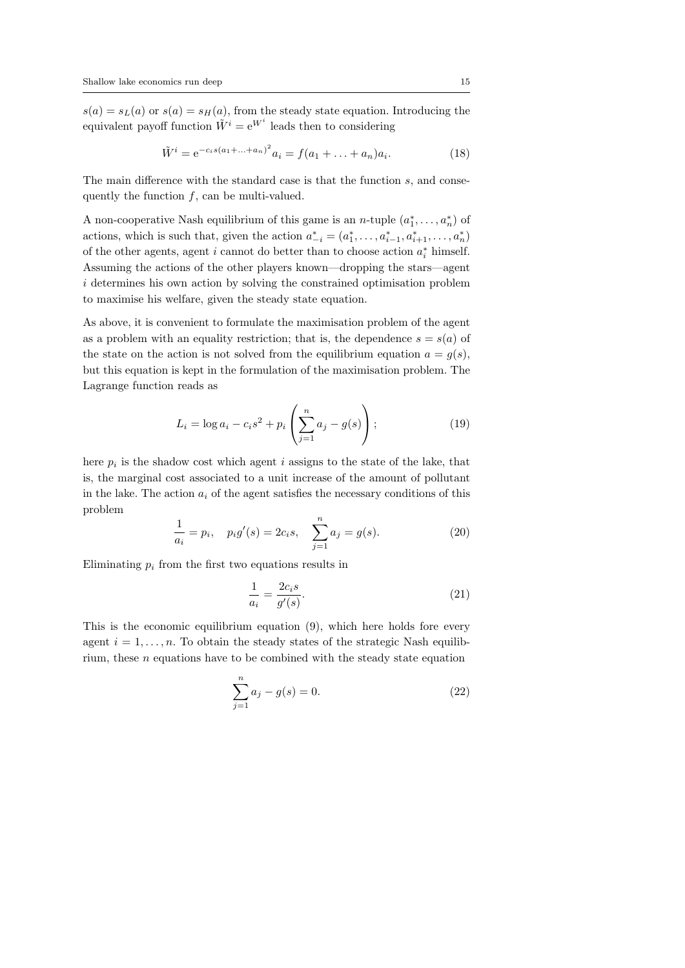$s(a) = s<sub>L</sub>(a)$  or  $s(a) = s<sub>H</sub>(a)$ , from the steady state equation. Introducing the equivalent payoff function  $\tilde{W}^i = e^{W^i}$  leads then to considering

$$
\tilde{W}^{i} = e^{-c_{i}s(a_{1} + \dots + a_{n})^{2}} a_{i} = f(a_{1} + \dots + a_{n})a_{i}.
$$
\n(18)

The main difference with the standard case is that the function *s*, and consequently the function *f*, can be multi-valued.

A non-cooperative Nash equilibrium of this game is an *n*-tuple  $(a_1^*, \ldots, a_n^*)$  of actions, which is such that, given the action  $a_{-i}^* = (a_1^*, \ldots, a_{i-1}^*, a_{i+1}^*, \ldots, a_n^*)$ of the other agents, agent *i* cannot do better than to choose action  $a_i^*$  himself. Assuming the actions of the other players known—dropping the stars—agent *i* determines his own action by solving the constrained optimisation problem to maximise his welfare, given the steady state equation.

As above, it is convenient to formulate the maximisation problem of the agent as a problem with an equality restriction; that is, the dependence  $s = s(a)$  of the state on the action is not solved from the equilibrium equation  $a = g(s)$ , but this equation is kept in the formulation of the maximisation problem. The Lagrange function reads as

$$
L_i = \log a_i - c_i s^2 + p_i \left( \sum_{j=1}^n a_j - g(s) \right); \tag{19}
$$

here  $p_i$  is the shadow cost which agent  $i$  assigns to the state of the lake, that is, the marginal cost associated to a unit increase of the amount of pollutant in the lake. The action  $a_i$  of the agent satisfies the necessary conditions of this problem

$$
\frac{1}{a_i} = p_i, \quad p_i g'(s) = 2c_i s, \quad \sum_{j=1}^n a_j = g(s).
$$
 (20)

Eliminating  $p_i$  from the first two equations results in

$$
\frac{1}{a_i} = \frac{2c_i s}{g'(s)}.
$$
\n(21)

This is the economic equilibrium equation (9), which here holds fore every agent  $i = 1, \ldots, n$ . To obtain the steady states of the strategic Nash equilibrium, these *n* equations have to be combined with the steady state equation

$$
\sum_{j=1}^{n} a_j - g(s) = 0.
$$
 (22)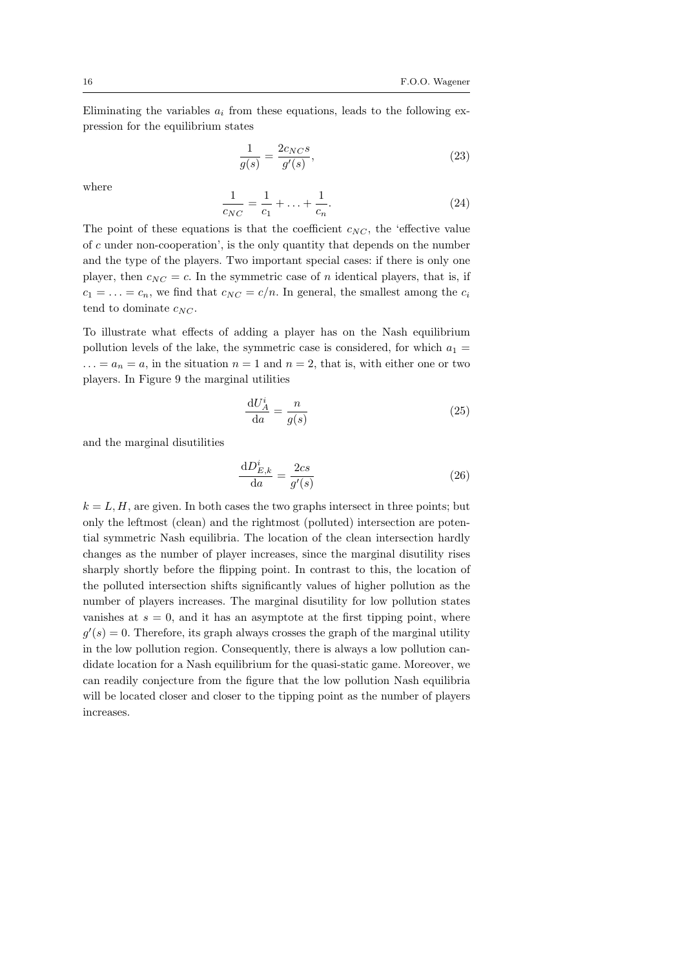Eliminating the variables  $a_i$  from these equations, leads to the following expression for the equilibrium states

$$
\frac{1}{g(s)} = \frac{2c_{NC}s}{g'(s)},
$$
\n(23)

where

$$
\frac{1}{c_{NC}} = \frac{1}{c_1} + \ldots + \frac{1}{c_n}.\tag{24}
$$

The point of these equations is that the coefficient  $c_{NC}$ , the 'effective value of *c* under non-cooperation', is the only quantity that depends on the number and the type of the players. Two important special cases: if there is only one player, then  $c_{NC} = c$ . In the symmetric case of *n* identical players, that is, if  $c_1 = \ldots = c_n$ , we find that  $c_{NC} = c/n$ . In general, the smallest among the  $c_i$ tend to dominate  $c_{NC}$ .

To illustrate what effects of adding a player has on the Nash equilibrium pollution levels of the lake, the symmetric case is considered, for which  $a_1 =$  $\ldots = a_n = a$ , in the situation  $n = 1$  and  $n = 2$ , that is, with either one or two players. In Figure 9 the marginal utilities

$$
\frac{\mathrm{d}U_A^i}{\mathrm{d}a} = \frac{n}{g(s)}\tag{25}
$$

and the marginal disutilities

$$
\frac{\mathrm{d}D_{E,k}^i}{\mathrm{d}a} = \frac{2cs}{g'(s)}\tag{26}
$$

 $k = L, H$ , are given. In both cases the two graphs intersect in three points; but only the leftmost (clean) and the rightmost (polluted) intersection are potential symmetric Nash equilibria. The location of the clean intersection hardly changes as the number of player increases, since the marginal disutility rises sharply shortly before the flipping point. In contrast to this, the location of the polluted intersection shifts significantly values of higher pollution as the number of players increases. The marginal disutility for low pollution states vanishes at  $s = 0$ , and it has an asymptote at the first tipping point, where  $g'(s) = 0$ . Therefore, its graph always crosses the graph of the marginal utility in the low pollution region. Consequently, there is always a low pollution candidate location for a Nash equilibrium for the quasi-static game. Moreover, we can readily conjecture from the figure that the low pollution Nash equilibria will be located closer and closer to the tipping point as the number of players increases.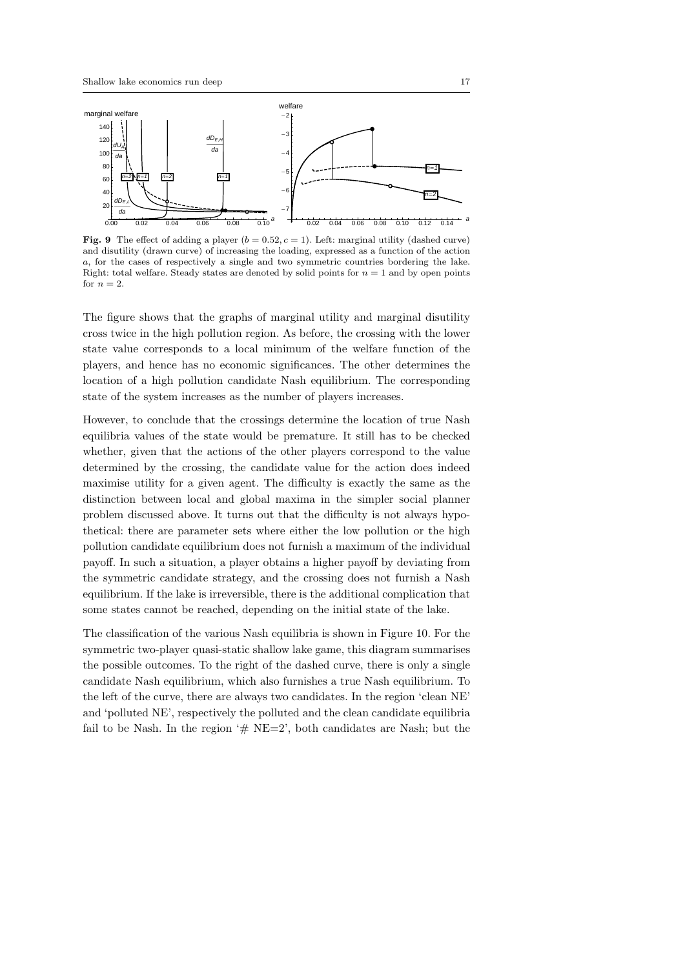

**Fig. 9** The effect of adding a player  $(b = 0.52, c = 1)$ . Left: marginal utility (dashed curve) and disutility (drawn curve) of increasing the loading, expressed as a function of the action *a*, for the cases of respectively a single and two symmetric countries bordering the lake. Right: total welfare. Steady states are denoted by solid points for  $n = 1$  and by open points for  $n=2$ .

The figure shows that the graphs of marginal utility and marginal disutility cross twice in the high pollution region. As before, the crossing with the lower state value corresponds to a local minimum of the welfare function of the players, and hence has no economic significances. The other determines the location of a high pollution candidate Nash equilibrium. The corresponding state of the system increases as the number of players increases.

However, to conclude that the crossings determine the location of true Nash equilibria values of the state would be premature. It still has to be checked whether, given that the actions of the other players correspond to the value determined by the crossing, the candidate value for the action does indeed maximise utility for a given agent. The difficulty is exactly the same as the distinction between local and global maxima in the simpler social planner problem discussed above. It turns out that the difficulty is not always hypothetical: there are parameter sets where either the low pollution or the high pollution candidate equilibrium does not furnish a maximum of the individual payoff. In such a situation, a player obtains a higher payoff by deviating from the symmetric candidate strategy, and the crossing does not furnish a Nash equilibrium. If the lake is irreversible, there is the additional complication that some states cannot be reached, depending on the initial state of the lake.

The classification of the various Nash equilibria is shown in Figure 10. For the symmetric two-player quasi-static shallow lake game, this diagram summarises the possible outcomes. To the right of the dashed curve, there is only a single candidate Nash equilibrium, which also furnishes a true Nash equilibrium. To the left of the curve, there are always two candidates. In the region 'clean NE' and 'polluted NE', respectively the polluted and the clean candidate equilibria fail to be Nash. In the region  $# NE=2$ , both candidates are Nash; but the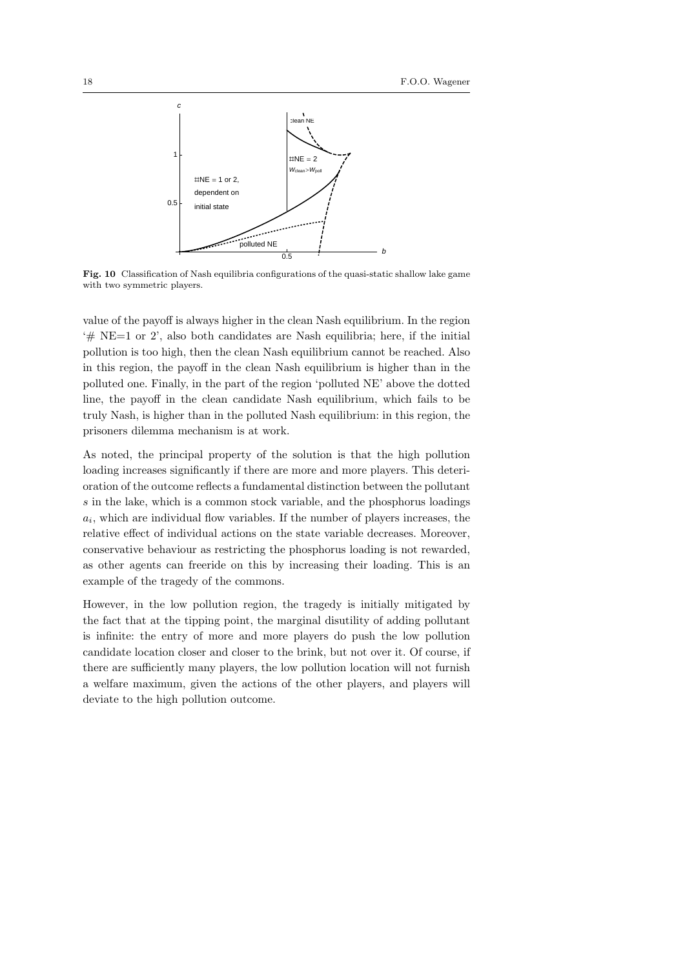

**Fig. 10** Classification of Nash equilibria configurations of the quasi-static shallow lake game with two symmetric players.

value of the payoff is always higher in the clean Nash equilibrium. In the region  $\#$  NE=1 or 2', also both candidates are Nash equilibria; here, if the initial pollution is too high, then the clean Nash equilibrium cannot be reached. Also in this region, the payoff in the clean Nash equilibrium is higher than in the polluted one. Finally, in the part of the region 'polluted NE' above the dotted line, the payoff in the clean candidate Nash equilibrium, which fails to be truly Nash, is higher than in the polluted Nash equilibrium: in this region, the prisoners dilemma mechanism is at work.

As noted, the principal property of the solution is that the high pollution loading increases significantly if there are more and more players. This deterioration of the outcome reflects a fundamental distinction between the pollutant *s* in the lake, which is a common stock variable, and the phosphorus loadings  $a_i$ , which are individual flow variables. If the number of players increases, the relative effect of individual actions on the state variable decreases. Moreover, conservative behaviour as restricting the phosphorus loading is not rewarded, as other agents can freeride on this by increasing their loading. This is an example of the tragedy of the commons.

However, in the low pollution region, the tragedy is initially mitigated by the fact that at the tipping point, the marginal disutility of adding pollutant is infinite: the entry of more and more players do push the low pollution candidate location closer and closer to the brink, but not over it. Of course, if there are sufficiently many players, the low pollution location will not furnish a welfare maximum, given the actions of the other players, and players will deviate to the high pollution outcome.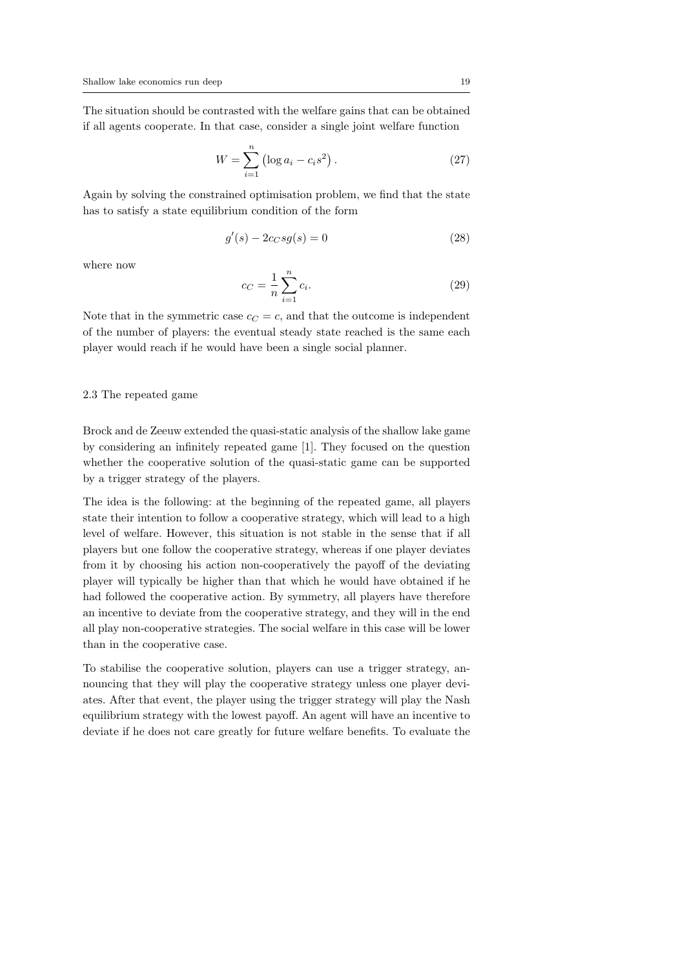The situation should be contrasted with the welfare gains that can be obtained if all agents cooperate. In that case, consider a single joint welfare function

$$
W = \sum_{i=1}^{n} (\log a_i - c_i s^2).
$$
 (27)

Again by solving the constrained optimisation problem, we find that the state has to satisfy a state equilibrium condition of the form

$$
g'(s) - 2c_C s g(s) = 0\tag{28}
$$

where now

$$
c_C = \frac{1}{n} \sum_{i=1}^{n} c_i.
$$
 (29)

Note that in the symmetric case  $c_C = c$ , and that the outcome is independent of the number of players: the eventual steady state reached is the same each player would reach if he would have been a single social planner.

#### 2.3 The repeated game

Brock and de Zeeuw extended the quasi-static analysis of the shallow lake game by considering an infinitely repeated game [1]. They focused on the question whether the cooperative solution of the quasi-static game can be supported by a trigger strategy of the players.

The idea is the following: at the beginning of the repeated game, all players state their intention to follow a cooperative strategy, which will lead to a high level of welfare. However, this situation is not stable in the sense that if all players but one follow the cooperative strategy, whereas if one player deviates from it by choosing his action non-cooperatively the payoff of the deviating player will typically be higher than that which he would have obtained if he had followed the cooperative action. By symmetry, all players have therefore an incentive to deviate from the cooperative strategy, and they will in the end all play non-cooperative strategies. The social welfare in this case will be lower than in the cooperative case.

To stabilise the cooperative solution, players can use a trigger strategy, announcing that they will play the cooperative strategy unless one player deviates. After that event, the player using the trigger strategy will play the Nash equilibrium strategy with the lowest payoff. An agent will have an incentive to deviate if he does not care greatly for future welfare benefits. To evaluate the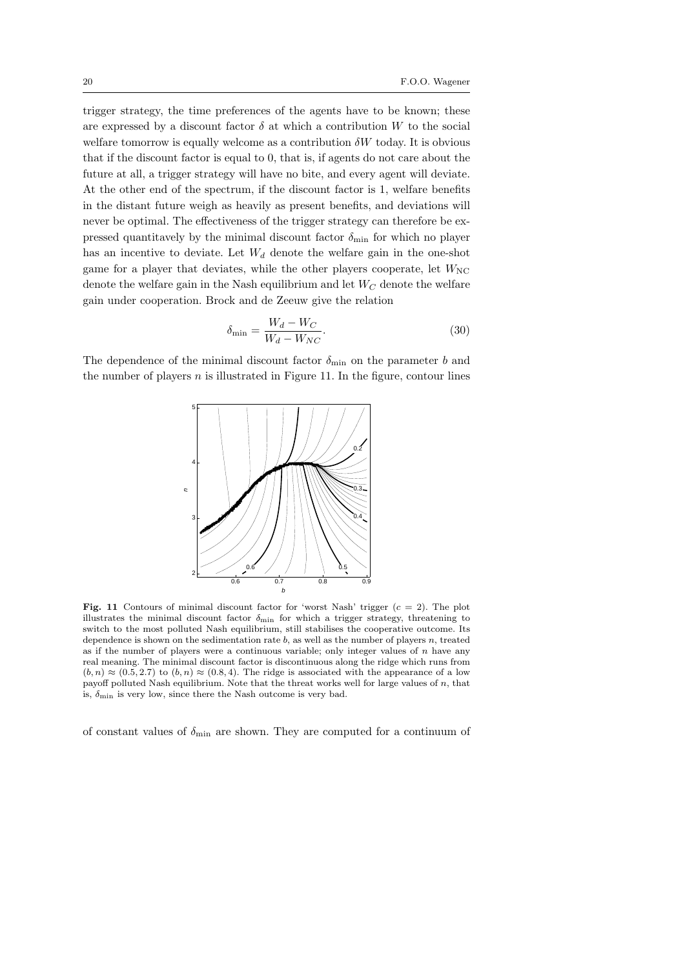trigger strategy, the time preferences of the agents have to be known; these are expressed by a discount factor  $\delta$  at which a contribution  $W$  to the social welfare tomorrow is equally welcome as a contribution  $\delta W$  today. It is obvious that if the discount factor is equal to 0, that is, if agents do not care about the future at all, a trigger strategy will have no bite, and every agent will deviate. At the other end of the spectrum, if the discount factor is 1, welfare benefits in the distant future weigh as heavily as present benefits, and deviations will never be optimal. The effectiveness of the trigger strategy can therefore be expressed quantitavely by the minimal discount factor  $\delta_{\min}$  for which no player has an incentive to deviate. Let  $W_d$  denote the welfare gain in the one-shot game for a player that deviates, while the other players cooperate, let  $W_{\text{NC}}$ denote the welfare gain in the Nash equilibrium and let *W<sup>C</sup>* denote the welfare gain under cooperation. Brock and de Zeeuw give the relation

$$
\delta_{\min} = \frac{W_d - W_C}{W_d - W_{NC}}.\tag{30}
$$

The dependence of the minimal discount factor  $\delta_{\min}$  on the parameter *b* and the number of players  $n$  is illustrated in Figure 11. In the figure, contour lines



**Fig. 11** Contours of minimal discount factor for 'worst Nash' trigger  $(c = 2)$ . The plot illustrates the minimal discount factor  $\delta_{\text{min}}$  for which a trigger strategy, threatening to switch to the most polluted Nash equilibrium, still stabilises the cooperative outcome. Its dependence is shown on the sedimentation rate *b*, as well as the number of players *n*, treated as if the number of players were a continuous variable; only integer values of *n* have any real meaning. The minimal discount factor is discontinuous along the ridge which runs from  $(b, n) \approx (0.5, 2.7)$  to  $(b, n) \approx (0.8, 4)$ . The ridge is associated with the appearance of a low payoff polluted Nash equilibrium. Note that the threat works well for large values of *n*, that is,  $\delta_{\min}$  is very low, since there the Nash outcome is very bad.

of constant values of  $\delta_{\min}$  are shown. They are computed for a continuum of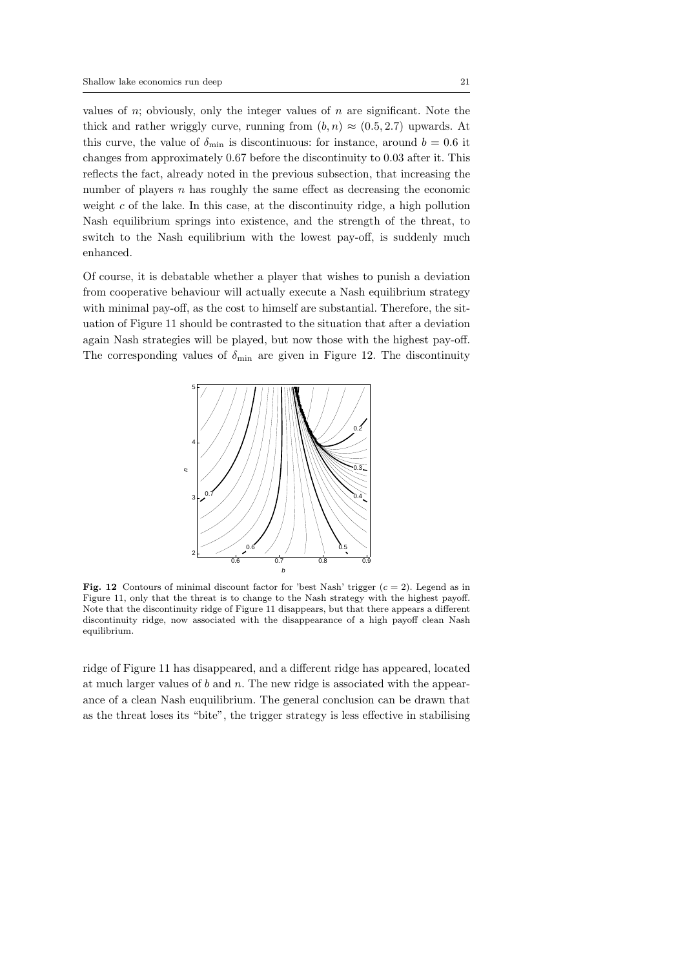values of *n*; obviously, only the integer values of *n* are significant. Note the thick and rather wriggly curve, running from  $(b, n) \approx (0.5, 2.7)$  upwards. At this curve, the value of  $\delta_{\text{min}}$  is discontinuous: for instance, around  $b = 0.6$  it changes from approximately 0*.*67 before the discontinuity to 0*.*03 after it. This reflects the fact, already noted in the previous subsection, that increasing the number of players *n* has roughly the same effect as decreasing the economic weight *c* of the lake. In this case, at the discontinuity ridge, a high pollution Nash equilibrium springs into existence, and the strength of the threat, to switch to the Nash equilibrium with the lowest pay-off, is suddenly much enhanced.

Of course, it is debatable whether a player that wishes to punish a deviation from cooperative behaviour will actually execute a Nash equilibrium strategy with minimal pay-off, as the cost to himself are substantial. Therefore, the situation of Figure 11 should be contrasted to the situation that after a deviation again Nash strategies will be played, but now those with the highest pay-off. The corresponding values of  $\delta_{\min}$  are given in Figure 12. The discontinuity



**Fig. 12** Contours of minimal discount factor for 'best Nash' trigger (*c* = 2). Legend as in Figure 11, only that the threat is to change to the Nash strategy with the highest payoff. Note that the discontinuity ridge of Figure 11 disappears, but that there appears a different discontinuity ridge, now associated with the disappearance of a high payoff clean Nash equilibrium.

ridge of Figure 11 has disappeared, and a different ridge has appeared, located at much larger values of *b* and *n*. The new ridge is associated with the appearance of a clean Nash euquilibrium. The general conclusion can be drawn that as the threat loses its "bite", the trigger strategy is less effective in stabilising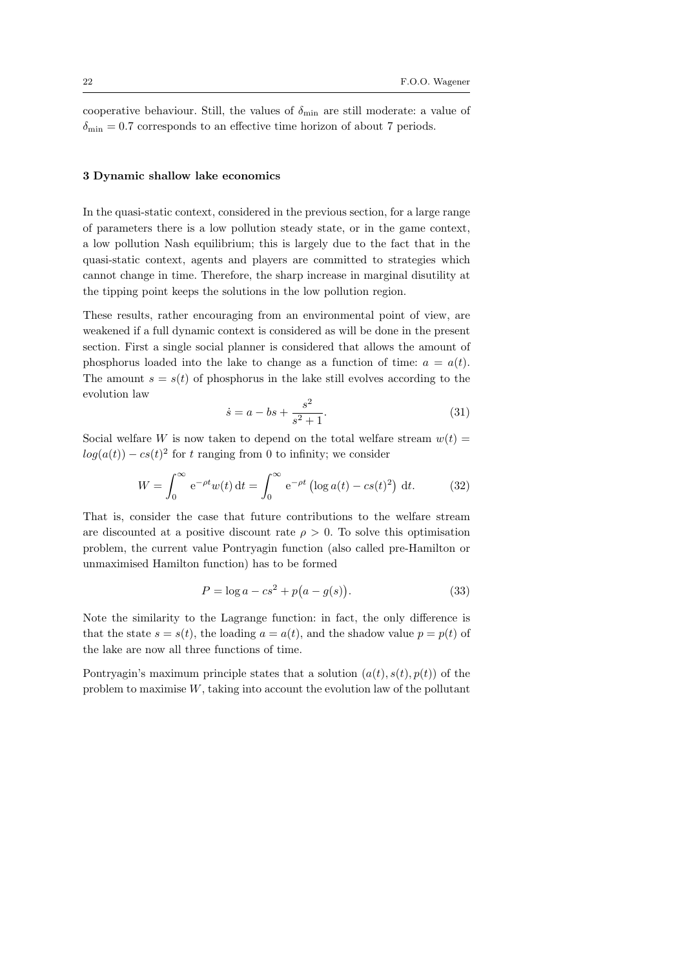cooperative behaviour. Still, the values of  $\delta_{\min}$  are still moderate: a value of  $\delta_{\min} = 0.7$  corresponds to an effective time horizon of about 7 periods.

#### **3 Dynamic shallow lake economics**

In the quasi-static context, considered in the previous section, for a large range of parameters there is a low pollution steady state, or in the game context, a low pollution Nash equilibrium; this is largely due to the fact that in the quasi-static context, agents and players are committed to strategies which cannot change in time. Therefore, the sharp increase in marginal disutility at the tipping point keeps the solutions in the low pollution region.

These results, rather encouraging from an environmental point of view, are weakened if a full dynamic context is considered as will be done in the present section. First a single social planner is considered that allows the amount of phosphorus loaded into the lake to change as a function of time:  $a = a(t)$ . The amount  $s = s(t)$  of phosphorus in the lake still evolves according to the evolution law

$$
\dot{s} = a - bs + \frac{s^2}{s^2 + 1}.\tag{31}
$$

Social welfare *W* is now taken to depend on the total welfare stream  $w(t) =$  $log(a(t)) - cs(t)^2$  for *t* ranging from 0 to infinity; we consider

$$
W = \int_0^\infty e^{-\rho t} w(t) dt = \int_0^\infty e^{-\rho t} (\log a(t) - cs(t)^2) dt.
$$
 (32)

That is, consider the case that future contributions to the welfare stream are discounted at a positive discount rate  $\rho > 0$ . To solve this optimisation problem, the current value Pontryagin function (also called pre-Hamilton or unmaximised Hamilton function) has to be formed

$$
P = \log a - cs^2 + p(a - g(s)).
$$
\n(33)

Note the similarity to the Lagrange function: in fact, the only difference is that the state  $s = s(t)$ , the loading  $a = a(t)$ , and the shadow value  $p = p(t)$  of the lake are now all three functions of time.

Pontryagin's maximum principle states that a solution  $(a(t), s(t), p(t))$  of the problem to maximise *W*, taking into account the evolution law of the pollutant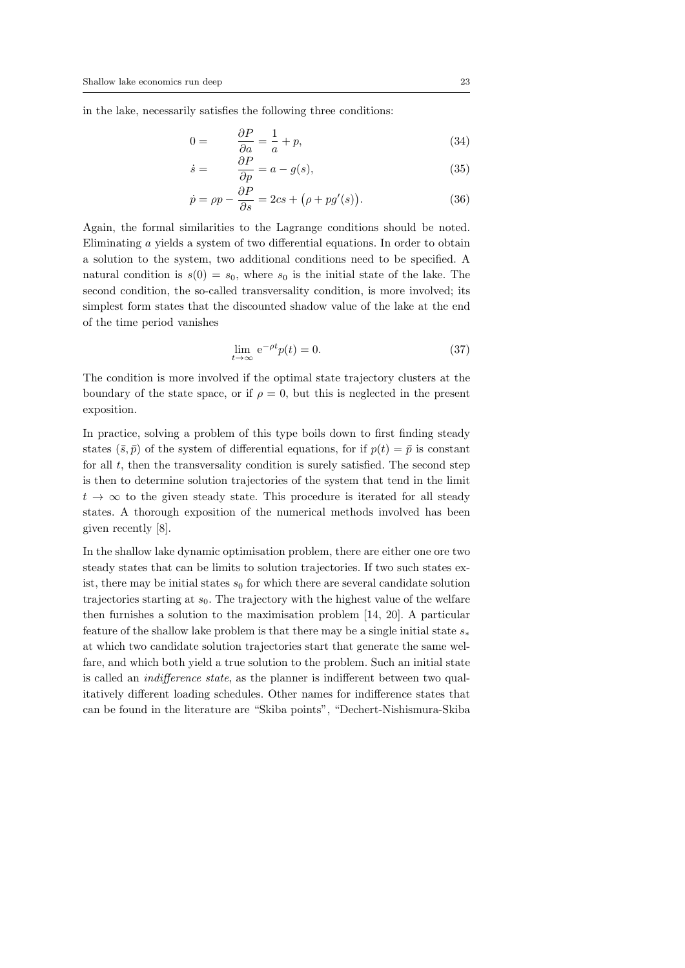in the lake, necessarily satisfies the following three conditions:

$$
0 = \frac{\partial P}{\partial a} = \frac{1}{a} + p,\tag{34}
$$

$$
\dot{s} = \frac{\partial P}{\partial p} = a - g(s),\tag{35}
$$

$$
\dot{p} = \rho p - \frac{\partial P}{\partial s} = 2cs + (\rho + pg'(s)).\tag{36}
$$

Again, the formal similarities to the Lagrange conditions should be noted. Eliminating *a* yields a system of two differential equations. In order to obtain a solution to the system, two additional conditions need to be specified. A natural condition is  $s(0) = s_0$ , where  $s_0$  is the initial state of the lake. The second condition, the so-called transversality condition, is more involved; its simplest form states that the discounted shadow value of the lake at the end of the time period vanishes

$$
\lim_{t \to \infty} e^{-\rho t} p(t) = 0. \tag{37}
$$

The condition is more involved if the optimal state trajectory clusters at the boundary of the state space, or if  $\rho = 0$ , but this is neglected in the present exposition.

In practice, solving a problem of this type boils down to first finding steady states  $(\bar{s}, \bar{p})$  of the system of differential equations, for if  $p(t) = \bar{p}$  is constant for all  $t$ , then the transversality condition is surely satisfied. The second step is then to determine solution trajectories of the system that tend in the limit  $t \rightarrow \infty$  to the given steady state. This procedure is iterated for all steady states. A thorough exposition of the numerical methods involved has been given recently [8].

In the shallow lake dynamic optimisation problem, there are either one ore two steady states that can be limits to solution trajectories. If two such states exist, there may be initial states  $s_0$  for which there are several candidate solution trajectories starting at  $s_0$ . The trajectory with the highest value of the welfare then furnishes a solution to the maximisation problem [14, 20]. A particular feature of the shallow lake problem is that there may be a single initial state *s<sup>∗</sup>* at which two candidate solution trajectories start that generate the same welfare, and which both yield a true solution to the problem. Such an initial state is called an *indifference state*, as the planner is indifferent between two qualitatively different loading schedules. Other names for indifference states that can be found in the literature are "Skiba points", "Dechert-Nishismura-Skiba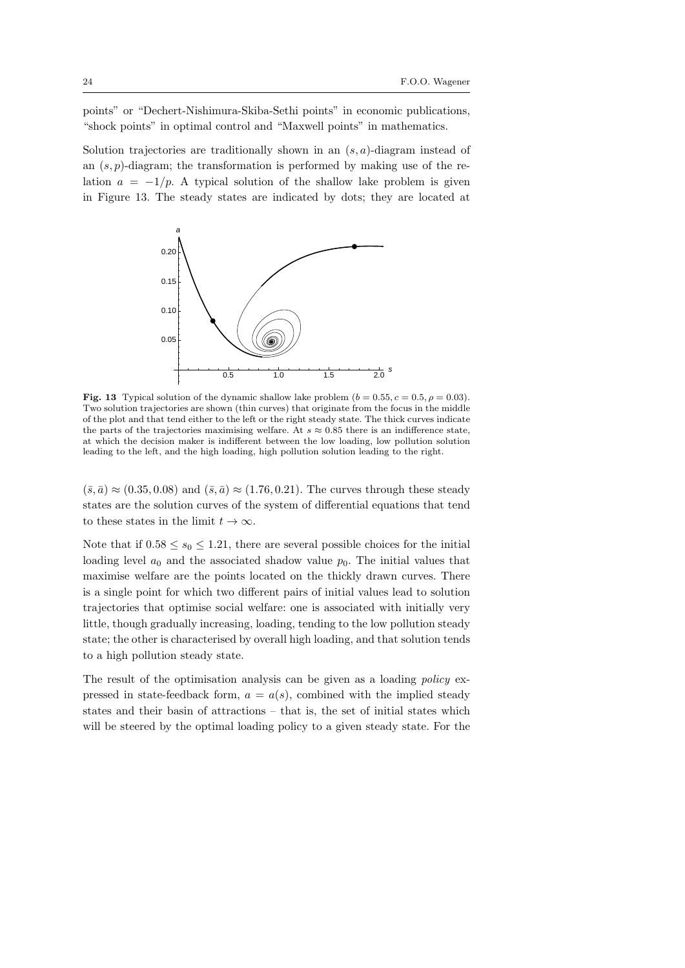points" or "Dechert-Nishimura-Skiba-Sethi points" in economic publications, "shock points" in optimal control and "Maxwell points" in mathematics.

Solution trajectories are traditionally shown in an (*s, a*)-diagram instead of an (*s, p*)-diagram; the transformation is performed by making use of the relation  $a = -1/p$ . A typical solution of the shallow lake problem is given in Figure 13. The steady states are indicated by dots; they are located at



**Fig. 13** Typical solution of the dynamic shallow lake problem  $(b = 0.55, c = 0.5, \rho = 0.03)$ . Two solution trajectories are shown (thin curves) that originate from the focus in the middle of the plot and that tend either to the left or the right steady state. The thick curves indicate the parts of the trajectories maximising welfare. At  $s \approx 0.85$  there is an indifference state, at which the decision maker is indifferent between the low loading, low pollution solution leading to the left, and the high loading, high pollution solution leading to the right.

 $(\bar{s}, \bar{a}) \approx (0.35, 0.08)$  and  $(\bar{s}, \bar{a}) \approx (1.76, 0.21)$ . The curves through these steady states are the solution curves of the system of differential equations that tend to these states in the limit  $t \to \infty$ .

Note that if  $0.58 \leq s_0 \leq 1.21$ , there are several possible choices for the initial loading level  $a_0$  and the associated shadow value  $p_0$ . The initial values that maximise welfare are the points located on the thickly drawn curves. There is a single point for which two different pairs of initial values lead to solution trajectories that optimise social welfare: one is associated with initially very little, though gradually increasing, loading, tending to the low pollution steady state; the other is characterised by overall high loading, and that solution tends to a high pollution steady state.

The result of the optimisation analysis can be given as a loading *policy* expressed in state-feedback form,  $a = a(s)$ , combined with the implied steady states and their basin of attractions – that is, the set of initial states which will be steered by the optimal loading policy to a given steady state. For the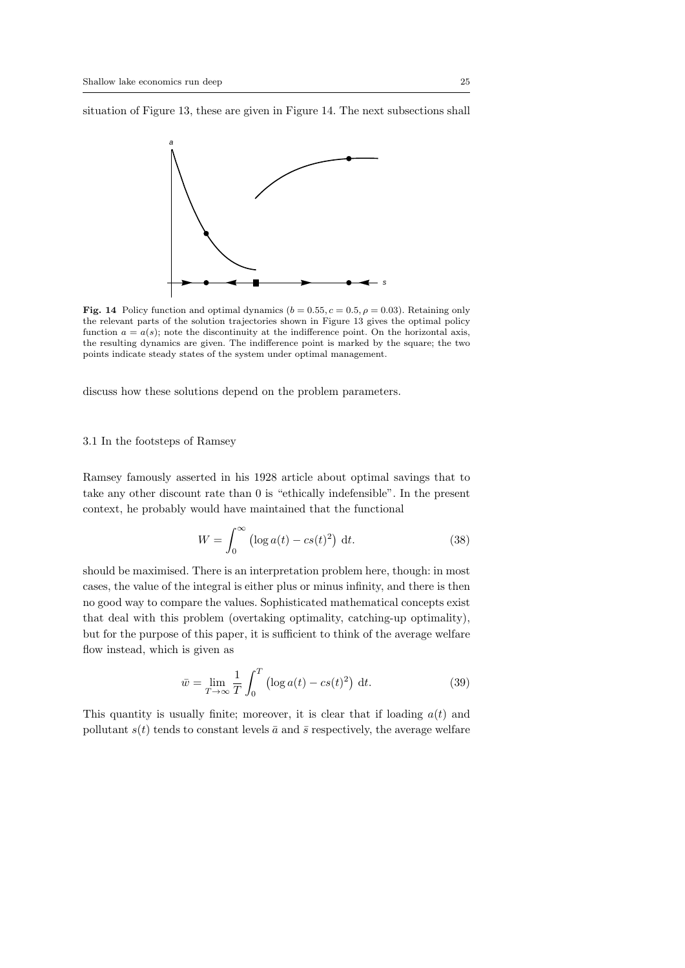situation of Figure 13, these are given in Figure 14. The next subsections shall



**Fig. 14** Policy function and optimal dynamics  $(b = 0.55, c = 0.5, \rho = 0.03)$ . Retaining only the relevant parts of the solution trajectories shown in Figure 13 gives the optimal policy function  $a = a(s)$ ; note the discontinuity at the indifference point. On the horizontal axis, the resulting dynamics are given. The indifference point is marked by the square; the two points indicate steady states of the system under optimal management.

discuss how these solutions depend on the problem parameters.

#### 3.1 In the footsteps of Ramsey

Ramsey famously asserted in his 1928 article about optimal savings that to take any other discount rate than 0 is "ethically indefensible". In the present context, he probably would have maintained that the functional

$$
W = \int_0^\infty \left(\log a(t) - cs(t)^2\right) \, \mathrm{d}t. \tag{38}
$$

should be maximised. There is an interpretation problem here, though: in most cases, the value of the integral is either plus or minus infinity, and there is then no good way to compare the values. Sophisticated mathematical concepts exist that deal with this problem (overtaking optimality, catching-up optimality), but for the purpose of this paper, it is sufficient to think of the average welfare flow instead, which is given as

$$
\bar{w} = \lim_{T \to \infty} \frac{1}{T} \int_0^T \left( \log a(t) - cs(t)^2 \right) dt.
$$
 (39)

This quantity is usually finite; moreover, it is clear that if loading *a*(*t*) and pollutant  $s(t)$  tends to constant levels  $\bar{a}$  and  $\bar{s}$  respectively, the average welfare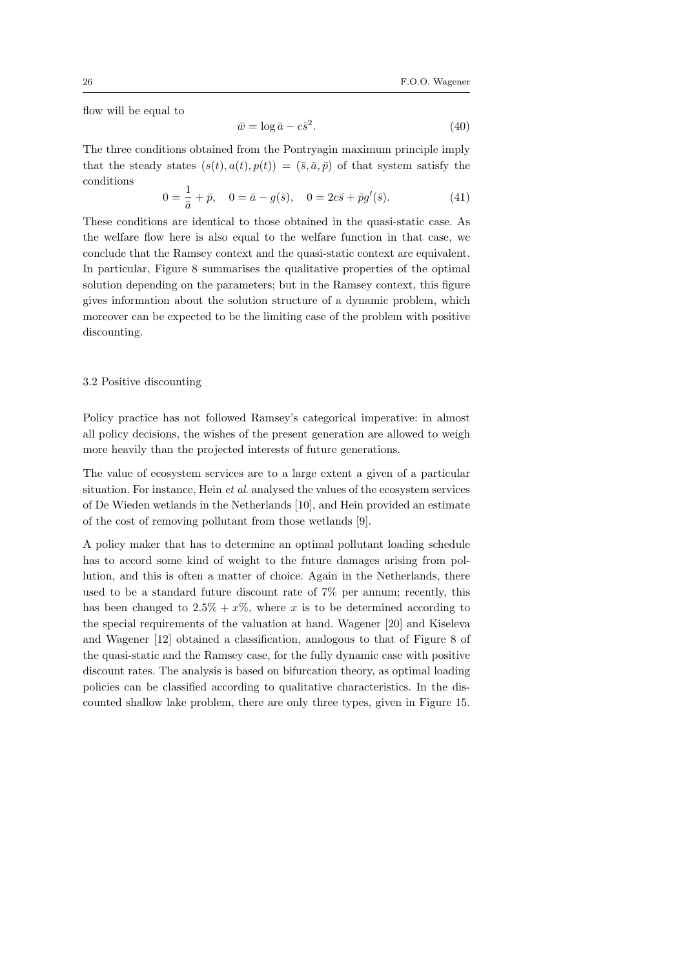flow will be equal to

$$
\bar{w} = \log \bar{a} - c\bar{s}^2. \tag{40}
$$

The three conditions obtained from the Pontryagin maximum principle imply that the steady states  $(s(t), a(t), p(t)) = (\bar{s}, \bar{a}, \bar{p})$  of that system satisfy the conditions

$$
0 = \frac{1}{\bar{a}} + \bar{p}, \quad 0 = \bar{a} - g(\bar{s}), \quad 0 = 2c\bar{s} + \bar{p}g'(\bar{s}). \tag{41}
$$

These conditions are identical to those obtained in the quasi-static case. As the welfare flow here is also equal to the welfare function in that case, we conclude that the Ramsey context and the quasi-static context are equivalent. In particular, Figure 8 summarises the qualitative properties of the optimal solution depending on the parameters; but in the Ramsey context, this figure gives information about the solution structure of a dynamic problem, which moreover can be expected to be the limiting case of the problem with positive discounting.

#### 3.2 Positive discounting

Policy practice has not followed Ramsey's categorical imperative: in almost all policy decisions, the wishes of the present generation are allowed to weigh more heavily than the projected interests of future generations.

The value of ecosystem services are to a large extent a given of a particular situation. For instance, Hein *et al*. analysed the values of the ecosystem services of De Wieden wetlands in the Netherlands [10], and Hein provided an estimate of the cost of removing pollutant from those wetlands [9].

A policy maker that has to determine an optimal pollutant loading schedule has to accord some kind of weight to the future damages arising from pollution, and this is often a matter of choice. Again in the Netherlands, there used to be a standard future discount rate of 7% per annum; recently, this has been changed to  $2.5\% + x\%$ , where *x* is to be determined according to the special requirements of the valuation at hand. Wagener [20] and Kiseleva and Wagener [12] obtained a classification, analogous to that of Figure 8 of the quasi-static and the Ramsey case, for the fully dynamic case with positive discount rates. The analysis is based on bifurcation theory, as optimal loading policies can be classified according to qualitative characteristics. In the discounted shallow lake problem, there are only three types, given in Figure 15.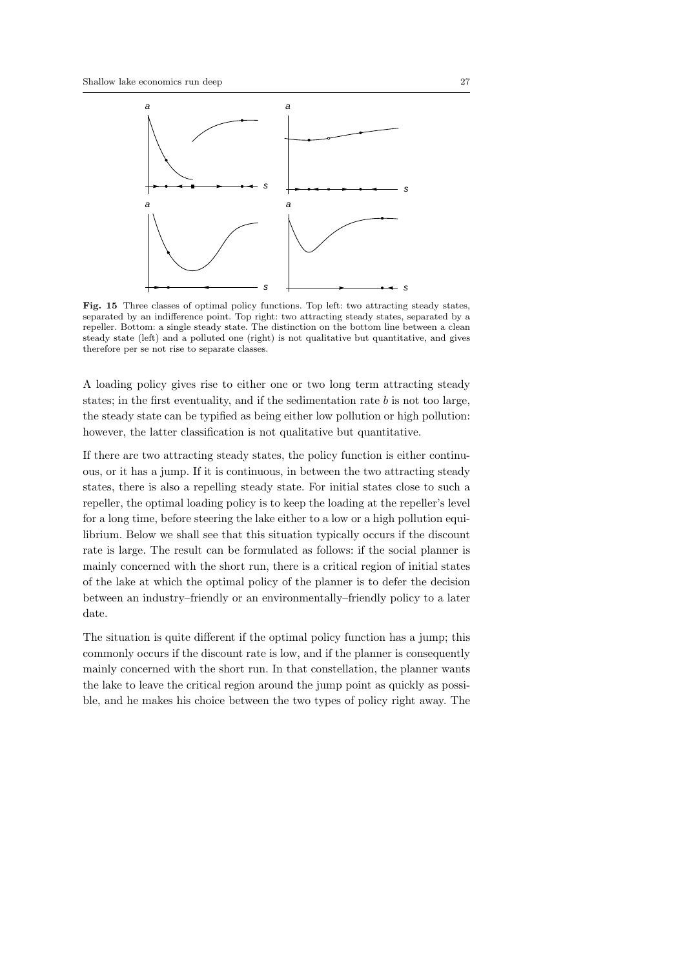

**Fig. 15** Three classes of optimal policy functions. Top left: two attracting steady states, separated by an indifference point. Top right: two attracting steady states, separated by a repeller. Bottom: a single steady state. The distinction on the bottom line between a clean steady state (left) and a polluted one (right) is not qualitative but quantitative, and gives therefore per se not rise to separate classes.

A loading policy gives rise to either one or two long term attracting steady states; in the first eventuality, and if the sedimentation rate *b* is not too large, the steady state can be typified as being either low pollution or high pollution: however, the latter classification is not qualitative but quantitative.

If there are two attracting steady states, the policy function is either continuous, or it has a jump. If it is continuous, in between the two attracting steady states, there is also a repelling steady state. For initial states close to such a repeller, the optimal loading policy is to keep the loading at the repeller's level for a long time, before steering the lake either to a low or a high pollution equilibrium. Below we shall see that this situation typically occurs if the discount rate is large. The result can be formulated as follows: if the social planner is mainly concerned with the short run, there is a critical region of initial states of the lake at which the optimal policy of the planner is to defer the decision between an industry–friendly or an environmentally–friendly policy to a later date.

The situation is quite different if the optimal policy function has a jump; this commonly occurs if the discount rate is low, and if the planner is consequently mainly concerned with the short run. In that constellation, the planner wants the lake to leave the critical region around the jump point as quickly as possible, and he makes his choice between the two types of policy right away. The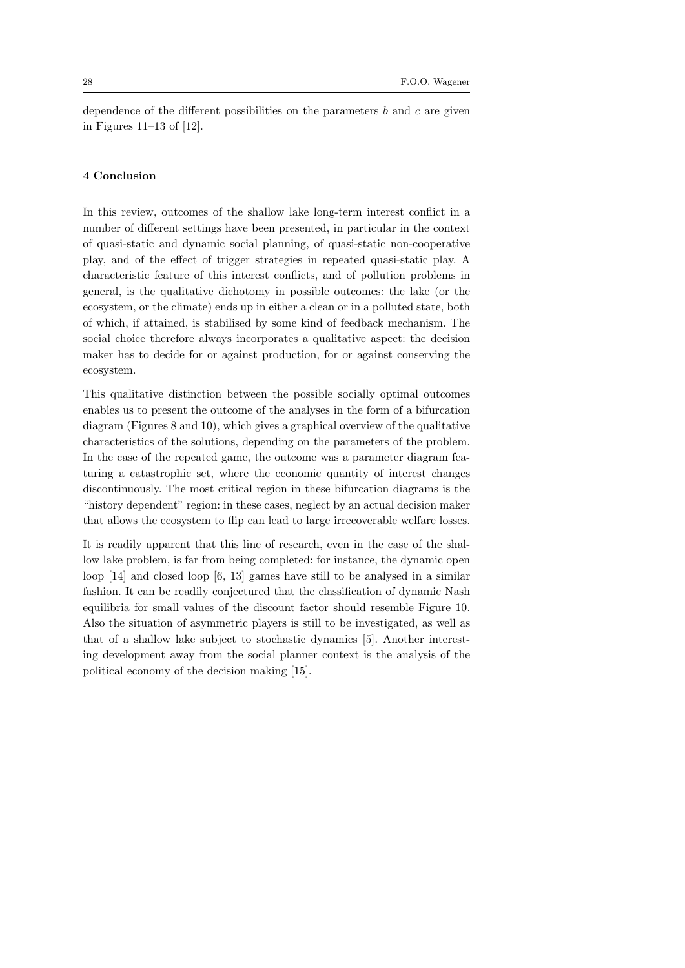dependence of the different possibilities on the parameters *b* and *c* are given in Figures 11–13 of [12].

#### **4 Conclusion**

In this review, outcomes of the shallow lake long-term interest conflict in a number of different settings have been presented, in particular in the context of quasi-static and dynamic social planning, of quasi-static non-cooperative play, and of the effect of trigger strategies in repeated quasi-static play. A characteristic feature of this interest conflicts, and of pollution problems in general, is the qualitative dichotomy in possible outcomes: the lake (or the ecosystem, or the climate) ends up in either a clean or in a polluted state, both of which, if attained, is stabilised by some kind of feedback mechanism. The social choice therefore always incorporates a qualitative aspect: the decision maker has to decide for or against production, for or against conserving the ecosystem.

This qualitative distinction between the possible socially optimal outcomes enables us to present the outcome of the analyses in the form of a bifurcation diagram (Figures 8 and 10), which gives a graphical overview of the qualitative characteristics of the solutions, depending on the parameters of the problem. In the case of the repeated game, the outcome was a parameter diagram featuring a catastrophic set, where the economic quantity of interest changes discontinuously. The most critical region in these bifurcation diagrams is the "history dependent" region: in these cases, neglect by an actual decision maker that allows the ecosystem to flip can lead to large irrecoverable welfare losses.

It is readily apparent that this line of research, even in the case of the shallow lake problem, is far from being completed: for instance, the dynamic open loop [14] and closed loop [6, 13] games have still to be analysed in a similar fashion. It can be readily conjectured that the classification of dynamic Nash equilibria for small values of the discount factor should resemble Figure 10. Also the situation of asymmetric players is still to be investigated, as well as that of a shallow lake subject to stochastic dynamics [5]. Another interesting development away from the social planner context is the analysis of the political economy of the decision making [15].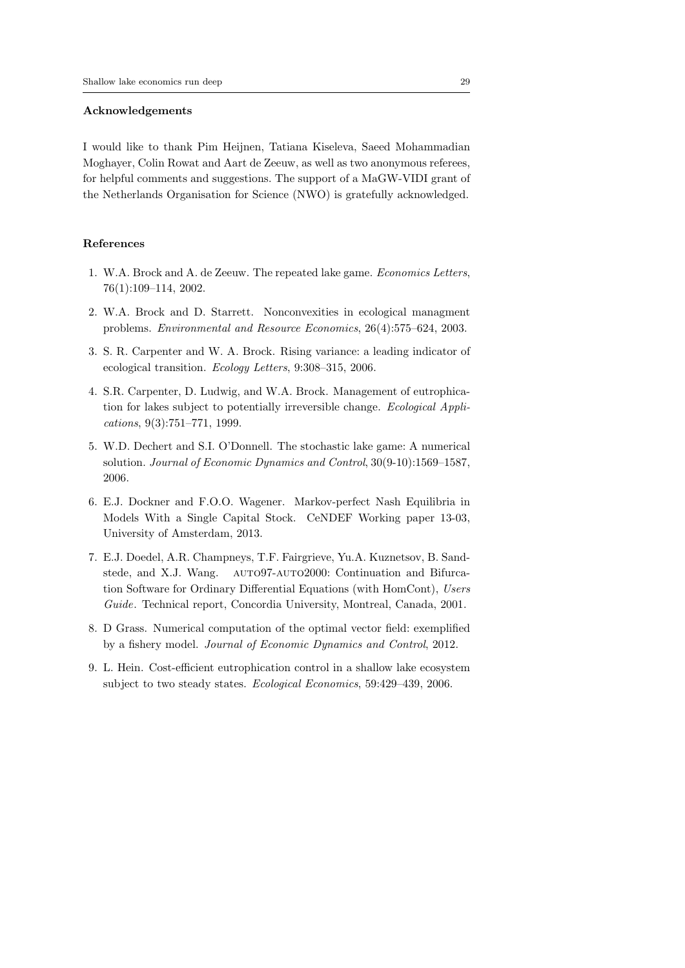#### **Acknowledgements**

I would like to thank Pim Heijnen, Tatiana Kiseleva, Saeed Mohammadian Moghayer, Colin Rowat and Aart de Zeeuw, as well as two anonymous referees, for helpful comments and suggestions. The support of a MaGW-VIDI grant of the Netherlands Organisation for Science (NWO) is gratefully acknowledged.

#### **References**

- 1. W.A. Brock and A. de Zeeuw. The repeated lake game. *Economics Letters*, 76(1):109–114, 2002.
- 2. W.A. Brock and D. Starrett. Nonconvexities in ecological managment problems. *Environmental and Resource Economics*, 26(4):575–624, 2003.
- 3. S. R. Carpenter and W. A. Brock. Rising variance: a leading indicator of ecological transition. *Ecology Letters*, 9:308–315, 2006.
- 4. S.R. Carpenter, D. Ludwig, and W.A. Brock. Management of eutrophication for lakes subject to potentially irreversible change. *Ecological Applications*, 9(3):751–771, 1999.
- 5. W.D. Dechert and S.I. O'Donnell. The stochastic lake game: A numerical solution. *Journal of Economic Dynamics and Control*, 30(9-10):1569–1587, 2006.
- 6. E.J. Dockner and F.O.O. Wagener. Markov-perfect Nash Equilibria in Models With a Single Capital Stock. CeNDEF Working paper 13-03, University of Amsterdam, 2013.
- 7. E.J. Doedel, A.R. Champneys, T.F. Fairgrieve, Yu.A. Kuznetsov, B. Sandstede, and X.J. Wang. AUTO97-AUTO2000: Continuation and Bifurcation Software for Ordinary Differential Equations (with HomCont), *Users Guide*. Technical report, Concordia University, Montreal, Canada, 2001.
- 8. D Grass. Numerical computation of the optimal vector field: exemplified by a fishery model. *Journal of Economic Dynamics and Control*, 2012.
- 9. L. Hein. Cost-efficient eutrophication control in a shallow lake ecosystem subject to two steady states. *Ecological Economics*, 59:429–439, 2006.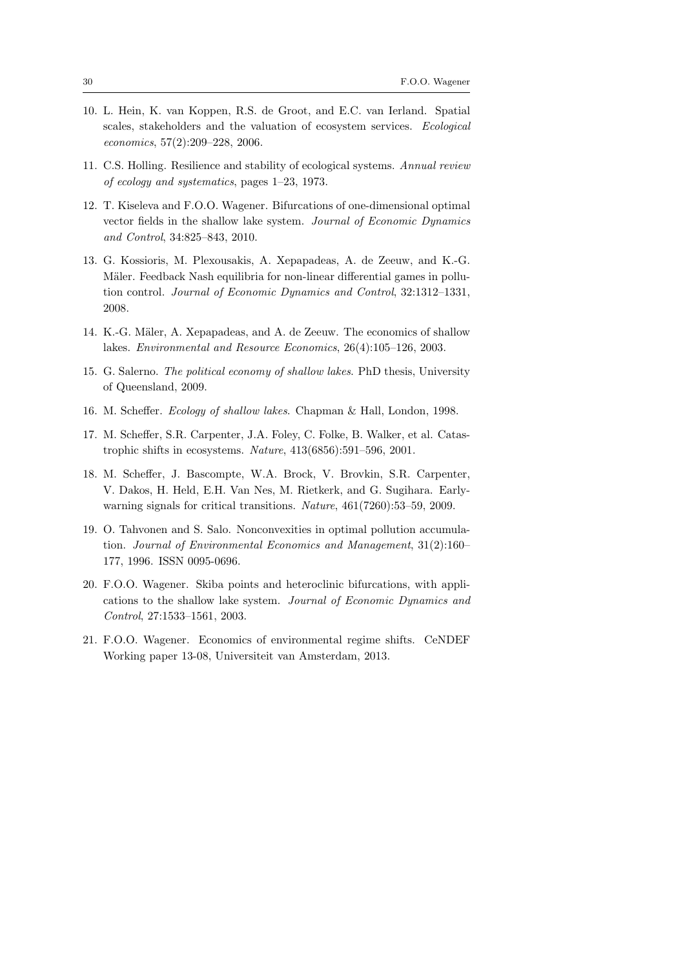- 10. L. Hein, K. van Koppen, R.S. de Groot, and E.C. van Ierland. Spatial scales, stakeholders and the valuation of ecosystem services. *Ecological economics*, 57(2):209–228, 2006.
- 11. C.S. Holling. Resilience and stability of ecological systems. *Annual review of ecology and systematics*, pages 1–23, 1973.
- 12. T. Kiseleva and F.O.O. Wagener. Bifurcations of one-dimensional optimal vector fields in the shallow lake system. *Journal of Economic Dynamics and Control*, 34:825–843, 2010.
- 13. G. Kossioris, M. Plexousakis, A. Xepapadeas, A. de Zeeuw, and K.-G. Mäler. Feedback Nash equilibria for non-linear differential games in pollution control. *Journal of Economic Dynamics and Control*, 32:1312–1331, 2008.
- 14. K.-G. Mäler, A. Xepapadeas, and A. de Zeeuw. The economics of shallow lakes. *Environmental and Resource Economics*, 26(4):105–126, 2003.
- 15. G. Salerno. *The political economy of shallow lakes*. PhD thesis, University of Queensland, 2009.
- 16. M. Scheffer. *Ecology of shallow lakes*. Chapman & Hall, London, 1998.
- 17. M. Scheffer, S.R. Carpenter, J.A. Foley, C. Folke, B. Walker, et al. Catastrophic shifts in ecosystems. *Nature*, 413(6856):591–596, 2001.
- 18. M. Scheffer, J. Bascompte, W.A. Brock, V. Brovkin, S.R. Carpenter, V. Dakos, H. Held, E.H. Van Nes, M. Rietkerk, and G. Sugihara. Earlywarning signals for critical transitions. *Nature*, 461(7260):53–59, 2009.
- 19. O. Tahvonen and S. Salo. Nonconvexities in optimal pollution accumulation. *Journal of Environmental Economics and Management*, 31(2):160– 177, 1996. ISSN 0095-0696.
- 20. F.O.O. Wagener. Skiba points and heteroclinic bifurcations, with applications to the shallow lake system. *Journal of Economic Dynamics and Control*, 27:1533–1561, 2003.
- 21. F.O.O. Wagener. Economics of environmental regime shifts. CeNDEF Working paper 13-08, Universiteit van Amsterdam, 2013.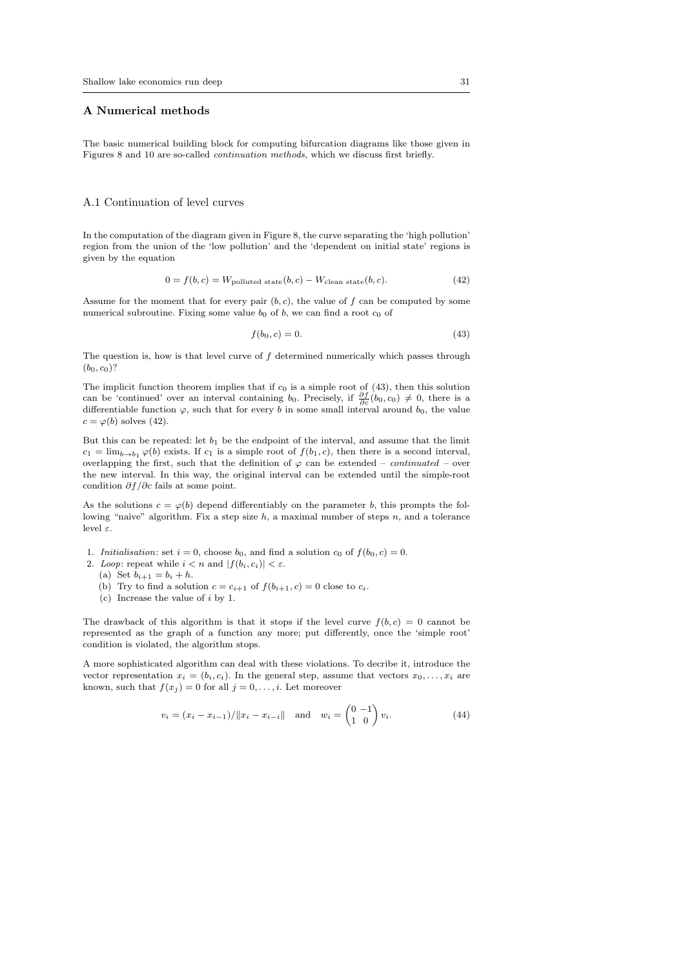#### **A Numerical methods**

The basic numerical building block for computing bifurcation diagrams like those given in Figures 8 and 10 are so-called *continuation methods*, which we discuss first briefly.

#### A.1 Continuation of level curves

In the computation of the diagram given in Figure 8, the curve separating the 'high pollution' region from the union of the 'low pollution' and the 'dependent on initial state' regions is given by the equation

$$
0 = f(b, c) = W_{\text{polluted state}}(b, c) - W_{\text{clean state}}(b, c). \tag{42}
$$

Assume for the moment that for every pair  $(b, c)$ , the value of  $f$  can be computed by some numerical subroutine. Fixing some value  $b_0$  of  $b$ , we can find a root  $c_0$  of

$$
f(b_0, c) = 0.\t\t(43)
$$

The question is, how is that level curve of *f* determined numerically which passes through  $(b_0, c_0)$ ?

The implicit function theorem implies that if  $c_0$  is a simple root of  $(43)$ , then this solution can be 'continued' over an interval containing *b*<sub>0</sub>. Precisely, if  $\frac{\partial f}{\partial c}(b_0, c_0) \neq 0$ , there is a differentiable function  $\varphi$ , such that for every *b* in some small interval around *b*<sub>0</sub>, the value  $c = \varphi(b)$  solves (42).

But this can be repeated: let *b*<sup>1</sup> be the endpoint of the interval, and assume that the limit  $c_1 = \lim_{b \to b_1} \varphi(b)$  exists. If  $c_1$  is a simple root of  $f(b_1, c)$ , then there is a second interval, overlapping the first, such that the definition of  $\varphi$  can be extended – *continuated* – over the new interval. In this way, the original interval can be extended until the simple-root condition *∂f /∂c* fails at some point.

As the solutions  $c = \varphi(b)$  depend differentiably on the parameter *b*, this prompts the following "naive" algorithm. Fix a step size *h*, a maximal number of steps *n*, and a tolerance level *ε*.

- 1. *Initialisation*: set  $i = 0$ , choose  $b_0$ , and find a solution  $c_0$  of  $f(b_0, c) = 0$ .
- 2. *Loop*: repeat while  $i < n$  and  $|f(b_i, c_i)| < \varepsilon$ .
	- (a) Set  $b_{i+1} = b_i + h$ .
	- (b) Try to find a solution  $c = c_{i+1}$  of  $f(b_{i+1}, c) = 0$  close to  $c_i$ .
	- (c) Increase the value of *i* by 1.

The drawback of this algorithm is that it stops if the level curve  $f(b, c) = 0$  cannot be represented as the graph of a function any more; put differently, once the 'simple root' condition is violated, the algorithm stops.

A more sophisticated algorithm can deal with these violations. To decribe it, introduce the vector representation  $x_i = (b_i, c_i)$ . In the general step, assume that vectors  $x_0, \ldots, x_i$  are known, such that  $f(x_j) = 0$  for all  $j = 0, \ldots, i$ . Let moreover

$$
v_i = (x_i - x_{i-1})/||x_i - x_{i-i}|| \text{ and } w_i = \begin{pmatrix} 0 & -1 \\ 1 & 0 \end{pmatrix} v_i.
$$
 (44)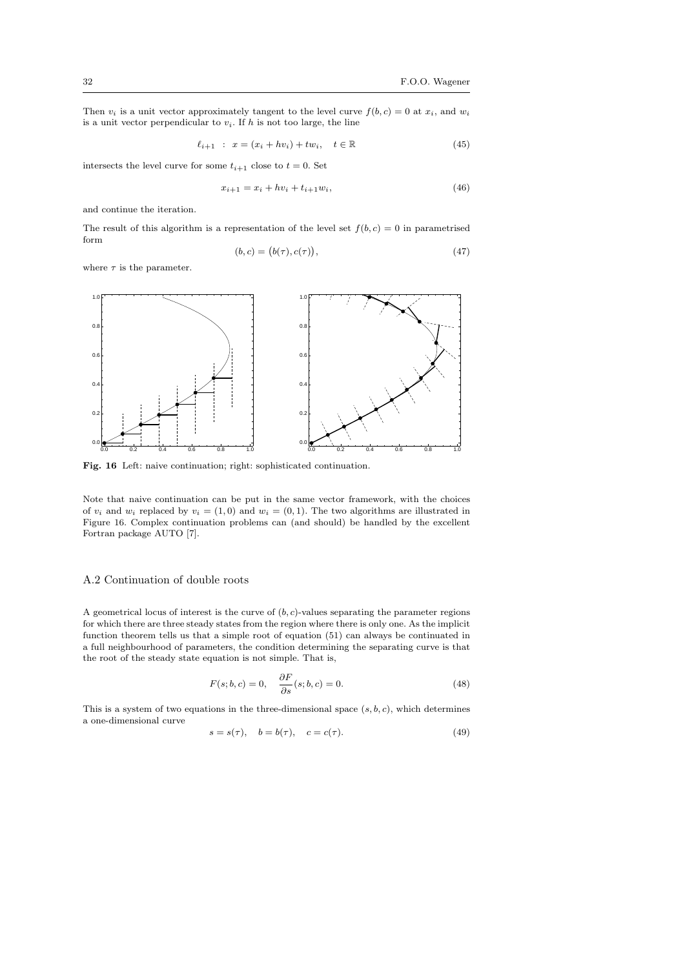Then  $v_i$  is a unit vector approximately tangent to the level curve  $f(b, c) = 0$  at  $x_i$ , and  $w_i$ is a unit vector perpendicular to  $v_i$ . If  $h$  is not too large, the line

$$
\ell_{i+1} : x = (x_i + hv_i) + tw_i, \quad t \in \mathbb{R}
$$
 (45)

intersects the level curve for some  $t_{i+1}$  close to  $t = 0$ . Set

$$
x_{i+1} = x_i + hv_i + t_{i+1}w_i,
$$
\n(46)

and continue the iteration.

The result of this algorithm is a representation of the level set  $f(b, c) = 0$  in parametrised form (*b, c*) = (  $\sim$ 

$$
(b,c) = (b(\tau), c(\tau)), \tag{47}
$$

where  $\tau$  is the parameter.



**Fig. 16** Left: naive continuation; right: sophisticated continuation.

Note that naive continuation can be put in the same vector framework, with the choices of  $v_i$  and  $w_i$  replaced by  $v_i = (1,0)$  and  $w_i = (0,1)$ . The two algorithms are illustrated in Figure 16. Complex continuation problems can (and should) be handled by the excellent Fortran package AUTO [7].

#### A.2 Continuation of double roots

A geometrical locus of interest is the curve of  $(b, c)$ -values separating the parameter regions for which there are three steady states from the region where there is only one. As the implicit function theorem tells us that a simple root of equation (51) can always be continuated in a full neighbourhood of parameters, the condition determining the separating curve is that the root of the steady state equation is not simple. That is,

$$
F(s; b, c) = 0, \quad \frac{\partial F}{\partial s}(s; b, c) = 0.
$$
\n(48)

This is a system of two equations in the three-dimensional space  $(s, b, c)$ , which determines a one-dimensional curve

$$
s = s(\tau), \quad b = b(\tau), \quad c = c(\tau). \tag{49}
$$